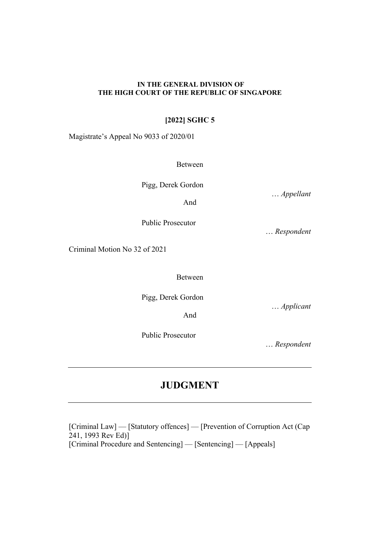## **IN THE GENERAL DIVISION OF THE HIGH COURT OF THE REPUBLIC OF SINGAPORE**

## **[2022] SGHC 5**

Magistrate's Appeal No 9033 of 2020/01

Between

Pigg, Derek Gordon

And

Public Prosecutor

… *Respondent*

Criminal Motion No 32 of 2021

Between

And

Pigg, Derek Gordon

Public Prosecutor

… *Applicant* 

… *Respondent*

# **JUDGMENT**

[Criminal Law] — [Statutory offences] — [Prevention of Corruption Act (Cap 241, 1993 Rev Ed)] [Criminal Procedure and Sentencing] — [Sentencing] — [Appeals]

… *Appellant*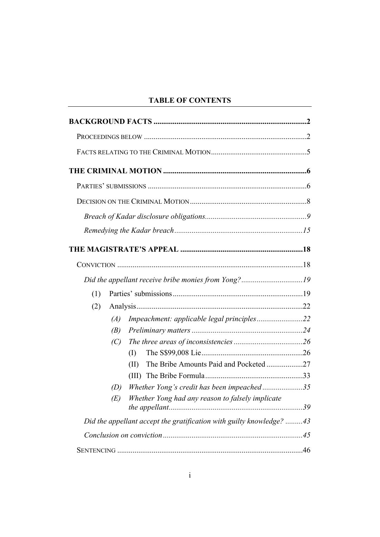## **TABLE OF CONTENTS**

|     | Did the appellant receive bribe monies from Yong?19                  |  |
|-----|----------------------------------------------------------------------|--|
| (1) |                                                                      |  |
| (2) |                                                                      |  |
|     | (A)                                                                  |  |
|     | (B)                                                                  |  |
|     | (C)                                                                  |  |
|     | (I)                                                                  |  |
|     | The Bribe Amounts Paid and Pocketed27<br>(II)                        |  |
|     |                                                                      |  |
|     | Whether Yong's credit has been impeached35<br>(D)                    |  |
|     | Whether Yong had any reason to falsely implicate<br>(E)              |  |
|     | Did the appellant accept the gratification with guilty knowledge? 43 |  |
|     |                                                                      |  |
|     |                                                                      |  |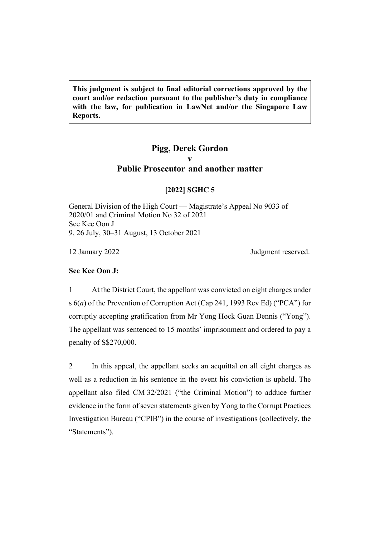**This judgment is subject to final editorial corrections approved by the court and/or redaction pursuant to the publisher's duty in compliance with the law, for publication in LawNet and/or the Singapore Law Reports.**

## **Pigg, Derek Gordon v Public Prosecutor and another matter**

## **[2022] SGHC 5**

General Division of the High Court — Magistrate's Appeal No 9033 of 2020/01 and Criminal Motion No 32 of 2021 See Kee Oon J 9, 26 July, 30–31 August, 13 October 2021

12 January 2022 **Judgment reserved.** 

## **See Kee Oon J:**

1 At the District Court, the appellant was convicted on eight charges under s 6(*a*) of the Prevention of Corruption Act (Cap 241, 1993 Rev Ed) ("PCA") for corruptly accepting gratification from Mr Yong Hock Guan Dennis ("Yong"). The appellant was sentenced to 15 months' imprisonment and ordered to pay a penalty of S\$270,000.

2 In this appeal, the appellant seeks an acquittal on all eight charges as well as a reduction in his sentence in the event his conviction is upheld. The appellant also filed CM 32/2021 ("the Criminal Motion") to adduce further evidence in the form of seven statements given by Yong to the Corrupt Practices Investigation Bureau ("CPIB") in the course of investigations (collectively, the "Statements").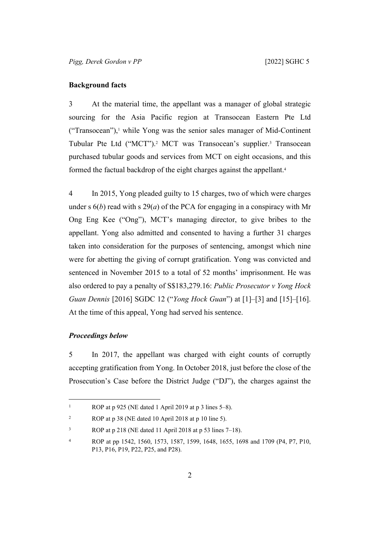## <span id="page-4-0"></span>**Background facts**

3 At the material time, the appellant was a manager of global strategic sourcing for the Asia Pacific region at Transocean Eastern Pte Ltd ("Transocean"),<sup>1</sup> while Yong was the senior sales manager of Mid-Continent Tubular Pte Ltd ("MCT").<sup>2</sup> MCT was Transocean's supplier.<sup>3</sup> Transocean purchased tubular goods and services from MCT on eight occasions, and this formed the factual backdrop of the eight charges against the appellant.<sup>4</sup>

<span id="page-4-2"></span>4 In 2015, Yong pleaded guilty to 15 charges, two of which were charges under s  $6(b)$  read with s  $29(a)$  of the PCA for engaging in a conspiracy with Mr Ong Eng Kee ("Ong"), MCT's managing director, to give bribes to the appellant. Yong also admitted and consented to having a further 31 charges taken into consideration for the purposes of sentencing, amongst which nine were for abetting the giving of corrupt gratification. Yong was convicted and sentenced in November 2015 to a total of 52 months' imprisonment. He was also ordered to pay a penalty of S\$183,279.16: *Public Prosecutor v Yong Hock Guan Dennis* [2016] SGDC 12 ("*Yong Hock Guan*") at [1]–[3] and [15]–[16]. At the time of this appeal, Yong had served his sentence.

## <span id="page-4-3"></span><span id="page-4-1"></span>*Proceedings below*

5 In 2017, the appellant was charged with eight counts of corruptly accepting gratification from Yong. In October 2018, just before the close of the Prosecution's Case before the District Judge ("DJ"), the charges against the

<sup>1</sup> ROP at p 925 (NE dated 1 April 2019 at p 3 lines 5–8).

 $\overline{2}$ ROP at p 38 (NE dated 10 April 2018 at p 10 line 5).

<sup>3</sup> ROP at p 218 (NE dated 11 April 2018 at p 53 lines 7–18).

<sup>4</sup> ROP at pp 1542, 1560, 1573, 1587, 1599, 1648, 1655, 1698 and 1709 (P4, P7, P10, P13, P16, P19, P22, P25, and P28).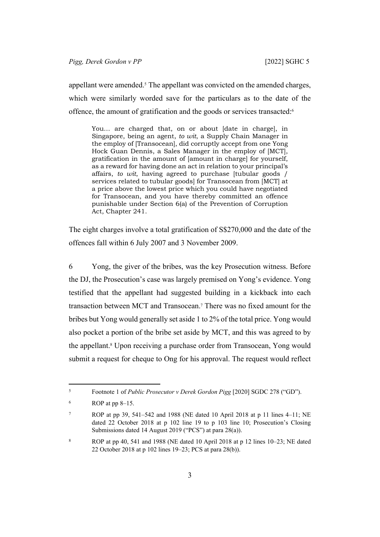appellant were amended.<sup>5</sup> The appellant was convicted on the amended charges, which were similarly worded save for the particulars as to the date of the offence, the amount of gratification and the goods or services transacted:<sup>6</sup>

You… are charged that, on or about [date in charge], in Singapore, being an agent, *to wit*, a Supply Chain Manager in the employ of [Transocean], did corruptly accept from one Yong Hock Guan Dennis, a Sales Manager in the employ of [MCT], gratification in the amount of [amount in charge] for yourself, as a reward for having done an act in relation to your principal's affairs, *to wit*, having agreed to purchase [tubular goods / services related to tubular goods] for Transocean from [MCT] at a price above the lowest price which you could have negotiated for Transocean, and you have thereby committed an offence punishable under Section 6(a) of the Prevention of Corruption Act, Chapter 241.

The eight charges involve a total gratification of S\$270,000 and the date of the offences fall within 6 July 2007 and 3 November 2009.

6 Yong, the giver of the bribes, was the key Prosecution witness. Before the DJ, the Prosecution's case was largely premised on Yong's evidence. Yong testified that the appellant had suggested building in a kickback into each transaction between MCT and Transocean.<sup>7</sup> There was no fixed amount for the bribes but Yong would generally set aside 1 to 2% of the total price. Yong would also pocket a portion of the bribe set aside by MCT, and this was agreed to by the appellant.<sup>8</sup> Upon receiving a purchase order from Transocean, Yong would submit a request for cheque to Ong for his approval. The request would reflect

<sup>5</sup> Footnote 1 of *Public Prosecutor v Derek Gordon Pigg* [2020] SGDC 278 ("GD").

<sup>6</sup> ROP at pp 8–15.

<sup>7</sup> ROP at pp 39, 541–542 and 1988 (NE dated 10 April 2018 at p 11 lines 4–11; NE dated 22 October 2018 at p 102 line 19 to p 103 line 10; Prosecution's Closing Submissions dated 14 August 2019 ("PCS") at para 28(a)).

<sup>8</sup> ROP at pp 40, 541 and 1988 (NE dated 10 April 2018 at p 12 lines 10–23; NE dated 22 October 2018 at p 102 lines 19–23; PCS at para 28(b)).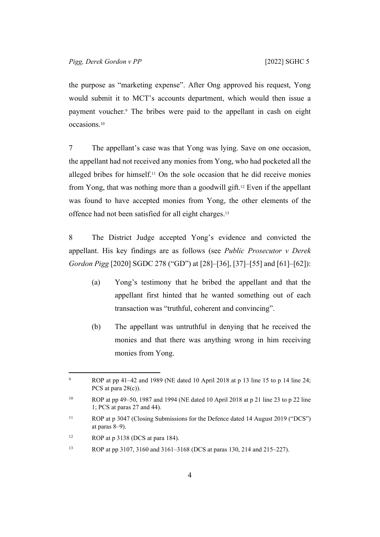the purpose as "marketing expense". After Ong approved his request, Yong would submit it to MCT's accounts department, which would then issue a payment voucher.<sup>9</sup> The bribes were paid to the appellant in cash on eight occasions.<sup>10</sup>

7 The appellant's case was that Yong was lying. Save on one occasion, the appellant had not received any monies from Yong, who had pocketed all the alleged bribes for himself.11 On the sole occasion that he did receive monies from Yong, that was nothing more than a goodwill gift.12 Even if the appellant was found to have accepted monies from Yong, the other elements of the offence had not been satisfied for all eight charges.<sup>13</sup>

8 The District Judge accepted Yong's evidence and convicted the appellant. His key findings are as follows (see *Public Prosecutor v Derek Gordon Pigg* [2020] SGDC 278 ("GD") at [28]–[36], [37]–[55] and [61]–[62]):

- (a) Yong's testimony that he bribed the appellant and that the appellant first hinted that he wanted something out of each transaction was "truthful, coherent and convincing".
- (b) The appellant was untruthful in denying that he received the monies and that there was anything wrong in him receiving monies from Yong.

<sup>9</sup> ROP at pp 41–42 and 1989 (NE dated 10 April 2018 at p 13 line 15 to p 14 line 24; PCS at para  $28(c)$ ).

<sup>&</sup>lt;sup>10</sup> ROP at pp 49–50, 1987 and 1994 (NE dated 10 April 2018 at p 21 line 23 to p 22 line 1; PCS at paras 27 and 44).

<sup>11</sup> ROP at p 3047 (Closing Submissions for the Defence dated 14 August 2019 ("DCS") at paras 8–9).

<sup>&</sup>lt;sup>12</sup> ROP at p  $3138$  (DCS at para 184).

<sup>13</sup> ROP at pp 3107, 3160 and 3161–3168 (DCS at paras 130, 214 and 215–227).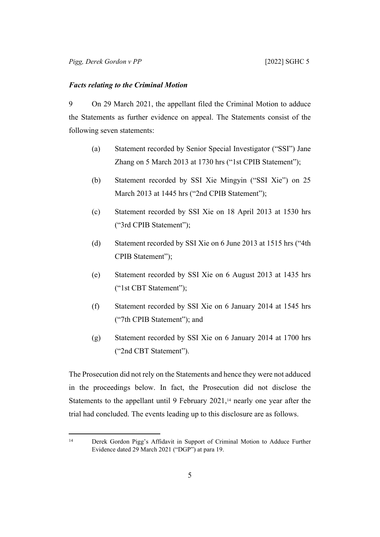#### <span id="page-7-0"></span>*Facts relating to the Criminal Motion*

9 On 29 March 2021, the appellant filed the Criminal Motion to adduce the Statements as further evidence on appeal. The Statements consist of the following seven statements:

- (a) Statement recorded by Senior Special Investigator ("SSI") Jane Zhang on 5 March 2013 at 1730 hrs ("1st CPIB Statement");
- (b) Statement recorded by SSI Xie Mingyin ("SSI Xie") on 25 March 2013 at 1445 hrs ("2nd CPIB Statement");
- (c) Statement recorded by SSI Xie on 18 April 2013 at 1530 hrs ("3rd CPIB Statement");
- (d) Statement recorded by SSI Xie on 6 June 2013 at 1515 hrs ("4th CPIB Statement");
- (e) Statement recorded by SSI Xie on 6 August 2013 at 1435 hrs ("1st CBT Statement");
- (f) Statement recorded by SSI Xie on 6 January 2014 at 1545 hrs ("7th CPIB Statement"); and
- (g) Statement recorded by SSI Xie on 6 January 2014 at 1700 hrs ("2nd CBT Statement").

The Prosecution did not rely on the Statements and hence they were not adduced in the proceedings below. In fact, the Prosecution did not disclose the Statements to the appellant until 9 February  $2021$ ,<sup>14</sup> nearly one year after the trial had concluded. The events leading up to this disclosure are as follows.

<sup>14</sup> Derek Gordon Pigg's Affidavit in Support of Criminal Motion to Adduce Further Evidence dated 29 March 2021 ("DGP") at para 19.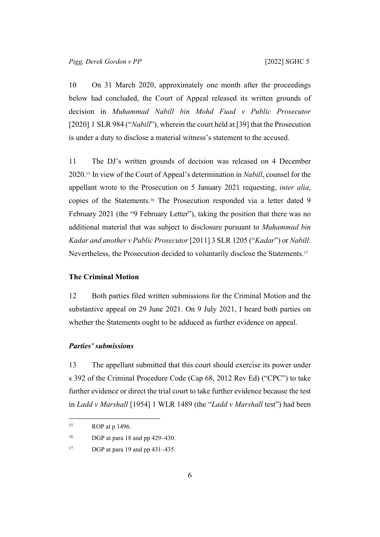10 On 31 March 2020, approximately one month after the proceedings below had concluded, the Court of Appeal released its written grounds of decision in *Muhammad Nabill bin Mohd Fuad v Public Prosecutor* [2020] 1 SLR 984 ("*Nabill*"), wherein the court held at [39] that the Prosecution is under a duty to disclose a material witness's statement to the accused.

11 The DJ's written grounds of decision was released on 4 December 2020.15 In view of the Court of Appeal's determination in *Nabill*, counsel for the appellant wrote to the Prosecution on 5 January 2021 requesting, *inter alia*, copies of the Statements.16 The Prosecution responded via a letter dated 9 February 2021 (the "9 February Letter"), taking the position that there was no additional material that was subject to disclosure pursuant to *Muhammad bin Kadar and another v Public Prosecutor* [2011] 3 SLR 1205 ("*Kadar*") or *Nabill*. Nevertheless, the Prosecution decided to voluntarily disclose the Statements.<sup>17</sup>

#### <span id="page-8-0"></span>**The Criminal Motion**

12 Both parties filed written submissions for the Criminal Motion and the substantive appeal on 29 June 2021. On 9 July 2021, I heard both parties on whether the Statements ought to be adduced as further evidence on appeal.

## <span id="page-8-1"></span>*Parties' submissions*

13 The appellant submitted that this court should exercise its power under s 392 of the Criminal Procedure Code (Cap 68, 2012 Rev Ed) ("CPC") to take further evidence or direct the trial court to take further evidence because the test in *Ladd v Marshall* [1954] 1 WLR 1489 (the "*Ladd v Marshall* test") had been

 $15$  ROP at p 1496.

<sup>16</sup> DGP at para 18 and pp 429–430.

<sup>&</sup>lt;sup>17</sup> DGP at para 19 and pp 431–435.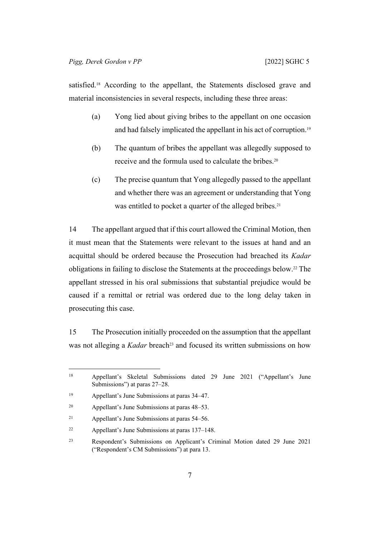satisfied.<sup>18</sup> According to the appellant, the Statements disclosed grave and material inconsistencies in several respects, including these three areas:

- (a) Yong lied about giving bribes to the appellant on one occasion and had falsely implicated the appellant in his act of corruption.<sup>19</sup>
- (b) The quantum of bribes the appellant was allegedly supposed to receive and the formula used to calculate the bribes.<sup>20</sup>
- (c) The precise quantum that Yong allegedly passed to the appellant and whether there was an agreement or understanding that Yong was entitled to pocket a quarter of the alleged bribes.<sup>21</sup>

14 The appellant argued that if this court allowed the Criminal Motion, then it must mean that the Statements were relevant to the issues at hand and an acquittal should be ordered because the Prosecution had breached its *Kadar* obligations in failing to disclose the Statements at the proceedings below.<sup>22</sup> The appellant stressed in his oral submissions that substantial prejudice would be caused if a remittal or retrial was ordered due to the long delay taken in prosecuting this case.

15 The Prosecution initially proceeded on the assumption that the appellant was not alleging a *Kadar* breach<sup>23</sup> and focused its written submissions on how

<sup>18</sup> Appellant's Skeletal Submissions dated 29 June 2021 ("Appellant's June Submissions") at paras 27–28.

<sup>19</sup> Appellant's June Submissions at paras 34–47.

<sup>20</sup> Appellant's June Submissions at paras 48–53.

<sup>21</sup> Appellant's June Submissions at paras 54–56.

<sup>22</sup> Appellant's June Submissions at paras 137–148.

<sup>23</sup> Respondent's Submissions on Applicant's Criminal Motion dated 29 June 2021 ("Respondent's CM Submissions") at para 13.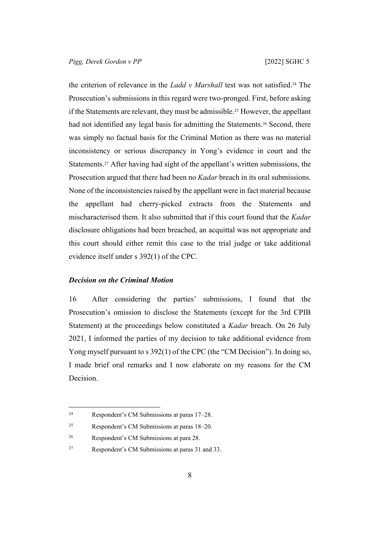the criterion of relevance in the *Ladd v Marshall* test was not satisfied.24 The Prosecution's submissions in this regard were two-pronged. First, before asking if the Statements are relevant, they must be admissible.25 However, the appellant had not identified any legal basis for admitting the Statements.<sup>26</sup> Second, there was simply no factual basis for the Criminal Motion as there was no material inconsistency or serious discrepancy in Yong's evidence in court and the Statements.27 After having had sight of the appellant's written submissions, the Prosecution argued that there had been no *Kadar* breach in its oral submissions. None of the inconsistencies raised by the appellant were in fact material because the appellant had cherry-picked extracts from the Statements and mischaracterised them. It also submitted that if this court found that the *Kadar*  disclosure obligations had been breached, an acquittal was not appropriate and this court should either remit this case to the trial judge or take additional evidence itself under s 392(1) of the CPC.

#### <span id="page-10-0"></span>*Decision on the Criminal Motion*

16 After considering the parties' submissions, I found that the Prosecution's omission to disclose the Statements (except for the 3rd CPIB Statement) at the proceedings below constituted a *Kadar* breach. On 26 July 2021, I informed the parties of my decision to take additional evidence from Yong myself pursuant to s 392(1) of the CPC (the "CM Decision"). In doing so, I made brief oral remarks and I now elaborate on my reasons for the CM Decision.

<sup>24</sup> Respondent's CM Submissions at paras 17–28.

<sup>25</sup> Respondent's CM Submissions at paras 18–20.

<sup>26</sup> Respondent's CM Submissions at para 28.

<sup>27</sup> Respondent's CM Submissions at paras 31 and 33.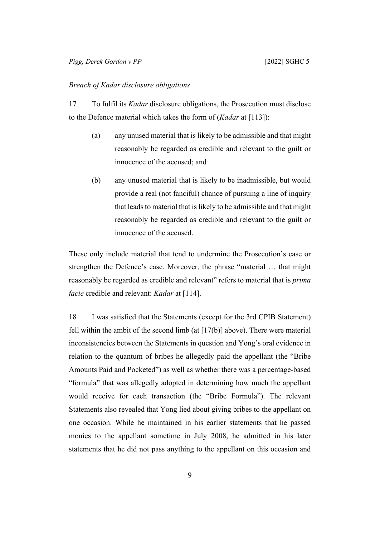#### <span id="page-11-0"></span>*Breach of Kadar disclosure obligations*

17 To fulfil its *Kadar* disclosure obligations, the Prosecution must disclose to the Defence material which takes the form of (*Kadar* at [113]):

- (a) any unused material that is likely to be admissible and that might reasonably be regarded as credible and relevant to the guilt or innocence of the accused; and
- <span id="page-11-1"></span>(b) any unused material that is likely to be inadmissible, but would provide a real (not fanciful) chance of pursuing a line of inquiry that leads to material that is likely to be admissible and that might reasonably be regarded as credible and relevant to the guilt or innocence of the accused.

These only include material that tend to undermine the Prosecution's case or strengthen the Defence's case. Moreover, the phrase "material … that might reasonably be regarded as credible and relevant" refers to material that is *prima facie* credible and relevant: *Kadar* at [114].

<span id="page-11-2"></span>18 I was satisfied that the Statements (except for the 3rd CPIB Statement) fell within the ambit of the second limb (at  $[17(b)]$  $[17(b)]$  above). There were material inconsistencies between the Statements in question and Yong's oral evidence in relation to the quantum of bribes he allegedly paid the appellant (the "Bribe Amounts Paid and Pocketed") as well as whether there was a percentage-based "formula" that was allegedly adopted in determining how much the appellant would receive for each transaction (the "Bribe Formula"). The relevant Statements also revealed that Yong lied about giving bribes to the appellant on one occasion. While he maintained in his earlier statements that he passed monies to the appellant sometime in July 2008, he admitted in his later statements that he did not pass anything to the appellant on this occasion and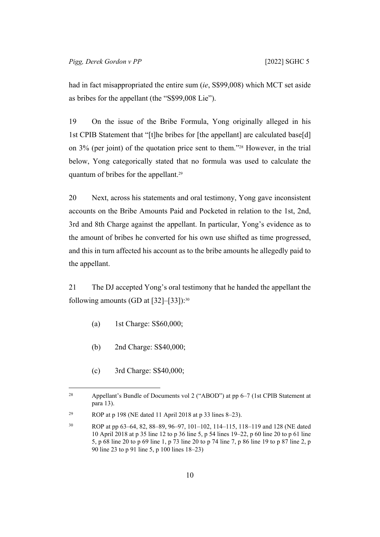had in fact misappropriated the entire sum (*ie*, S\$99,008) which MCT set aside as bribes for the appellant (the "S\$99,008 Lie").

<span id="page-12-1"></span>19 On the issue of the Bribe Formula, Yong originally alleged in his 1st CPIB Statement that "[t]he bribes for [the appellant] are calculated base[d] on 3% (per joint) of the quotation price sent to them."28 However, in the trial below, Yong categorically stated that no formula was used to calculate the quantum of bribes for the appellant.<sup>29</sup>

20 Next, across his statements and oral testimony, Yong gave inconsistent accounts on the Bribe Amounts Paid and Pocketed in relation to the 1st, 2nd, 3rd and 8th Charge against the appellant. In particular, Yong's evidence as to the amount of bribes he converted for his own use shifted as time progressed, and this in turn affected his account as to the bribe amounts he allegedly paid to the appellant.

<span id="page-12-0"></span>21 The DJ accepted Yong's oral testimony that he handed the appellant the following amounts (GD at  $[32]$ – $[33]$ ):<sup>30</sup>

- (a) 1st Charge: S\$60,000;
- (b) 2nd Charge: S\$40,000;
- (c) 3rd Charge: S\$40,000;

<sup>28</sup> Appellant's Bundle of Documents vol 2 ("ABOD") at pp 6–7 (1st CPIB Statement at para 13).

<sup>&</sup>lt;sup>29</sup> ROP at p 198 (NE dated 11 April 2018 at p 33 lines 8–23).

<sup>30</sup> ROP at pp 63–64, 82, 88–89, 96–97, 101–102, 114–115, 118–119 and 128 (NE dated 10 April 2018 at p 35 line 12 to p 36 line 5, p 54 lines 19–22, p 60 line 20 to p 61 line 5, p 68 line 20 to p 69 line 1, p 73 line 20 to p 74 line 7, p 86 line 19 to p 87 line 2, p 90 line 23 to p 91 line 5, p 100 lines 18–23)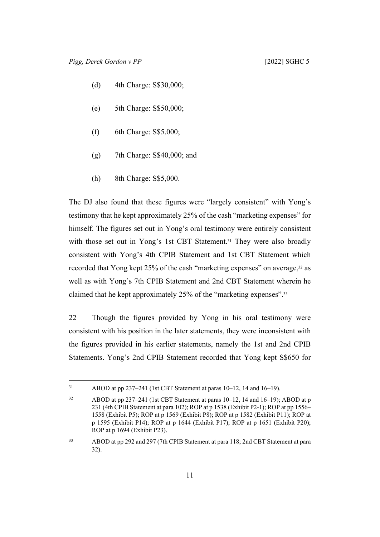- (d) 4th Charge: S\$30,000;
- (e) 5th Charge: S\$50,000;
- (f) 6th Charge: S\$5,000;
- (g) 7th Charge: S\$40,000; and
- (h) 8th Charge: S\$5,000.

The DJ also found that these figures were "largely consistent" with Yong's testimony that he kept approximately 25% of the cash "marketing expenses" for himself. The figures set out in Yong's oral testimony were entirely consistent with those set out in Yong's 1st CBT Statement.<sup>31</sup> They were also broadly consistent with Yong's 4th CPIB Statement and 1st CBT Statement which recorded that Yong kept 25% of the cash "marketing expenses" on average,<sup>32</sup> as well as with Yong's 7th CPIB Statement and 2nd CBT Statement wherein he claimed that he kept approximately 25% of the "marketing expenses".<sup>33</sup>

<span id="page-13-0"></span>22 Though the figures provided by Yong in his oral testimony were consistent with his position in the later statements, they were inconsistent with the figures provided in his earlier statements, namely the 1st and 2nd CPIB Statements. Yong's 2nd CPIB Statement recorded that Yong kept S\$650 for

<sup>31</sup> ABOD at pp 237–241 (1st CBT Statement at paras 10–12, 14 and 16–19).

<sup>32</sup> ABOD at pp 237–241 (1st CBT Statement at paras 10–12, 14 and 16–19); ABOD at p 231 (4th CPIB Statement at para 102); ROP at p 1538 (Exhibit P2-1); ROP at pp 1556– 1558 (Exhibit P5); ROP at p 1569 (Exhibit P8); ROP at p 1582 (Exhibit P11); ROP at p 1595 (Exhibit P14); ROP at p 1644 (Exhibit P17); ROP at p 1651 (Exhibit P20); ROP at p 1694 (Exhibit P23).

<sup>33</sup> ABOD at pp 292 and 297 (7th CPIB Statement at para 118; 2nd CBT Statement at para 32).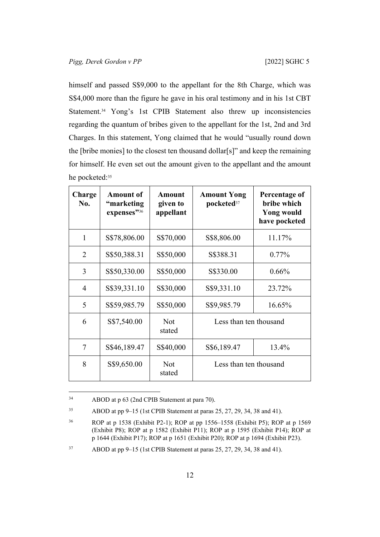himself and passed S\$9,000 to the appellant for the 8th Charge, which was S\$4,000 more than the figure he gave in his oral testimony and in his 1st CBT Statement.<sup>34</sup> Yong's 1st CPIB Statement also threw up inconsistencies regarding the quantum of bribes given to the appellant for the 1st, 2nd and 3rd Charges. In this statement, Yong claimed that he would "usually round down the [bribe monies] to the closest ten thousand dollar[s]" and keep the remaining for himself. He even set out the amount given to the appellant and the amount he pocketed:<sup>35</sup>

| Charge<br>No.  | <b>Amount of</b><br>"marketing<br>expenses"36 | Amount<br>given to<br>appellant | <b>Amount Yong</b><br>pocketed <sup>37</sup> | Percentage of<br>bribe which<br><b>Yong would</b><br>have pocketed |
|----------------|-----------------------------------------------|---------------------------------|----------------------------------------------|--------------------------------------------------------------------|
| 1              | S\$78,806.00                                  | S\$70,000                       | S\$8,806.00                                  | 11.17%                                                             |
| 2              | S\$50,388.31                                  | S\$50,000                       | S\$388.31                                    | $0.77\%$                                                           |
| 3              | S\$50,330.00                                  | S\$50,000                       | S\$330.00                                    | $0.66\%$                                                           |
| $\overline{4}$ | S\$39,331.10                                  | S\$30,000                       | S\$9,331.10                                  | 23.72%                                                             |
| 5              | S\$59,985.79                                  | S\$50,000                       | S\$9,985.79                                  | 16.65%                                                             |
| 6              | S\$7,540.00                                   | <b>Not</b><br>stated            | Less than ten thousand                       |                                                                    |
| 7              | S\$46,189.47                                  | S\$40,000                       | S\$6,189.47                                  | 13.4%                                                              |
| 8              | S\$9,650.00                                   | <b>Not</b><br>stated            | Less than ten thousand                       |                                                                    |

<sup>34</sup> ABOD at p 63 (2nd CPIB Statement at para 70).

<sup>35</sup> ABOD at pp 9–15 (1st CPIB Statement at paras 25, 27, 29, 34, 38 and 41).

<sup>36</sup> ROP at p 1538 (Exhibit P2-1); ROP at pp 1556–1558 (Exhibit P5); ROP at p 1569 (Exhibit P8); ROP at p 1582 (Exhibit P11); ROP at p 1595 (Exhibit P14); ROP at p 1644 (Exhibit P17); ROP at p 1651 (Exhibit P20); ROP at p 1694 (Exhibit P23).

<sup>37</sup> ABOD at pp 9–15 (1st CPIB Statement at paras 25, 27, 29, 34, 38 and 41).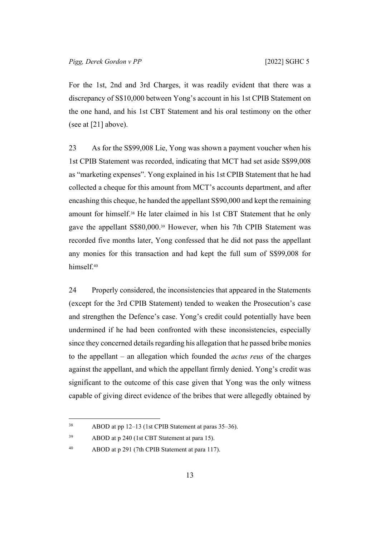For the 1st, 2nd and 3rd Charges, it was readily evident that there was a discrepancy of S\$10,000 between Yong's account in his 1st CPIB Statement on the one hand, and his 1st CBT Statement and his oral testimony on the other (see at [[21\]](#page-12-0) above).

23 As for the S\$99,008 Lie, Yong was shown a payment voucher when his 1st CPIB Statement was recorded, indicating that MCT had set aside S\$99,008 as "marketing expenses". Yong explained in his 1st CPIB Statement that he had collected a cheque for this amount from MCT's accounts department, and after encashing this cheque, he handed the appellant S\$90,000 and kept the remaining amount for himself.38 He later claimed in his 1st CBT Statement that he only gave the appellant S\$80,000.39 However, when his 7th CPIB Statement was recorded five months later, Yong confessed that he did not pass the appellant any monies for this transaction and had kept the full sum of S\$99,008 for himself.<sup>40</sup>

<span id="page-15-0"></span>24 Properly considered, the inconsistencies that appeared in the Statements (except for the 3rd CPIB Statement) tended to weaken the Prosecution's case and strengthen the Defence's case. Yong's credit could potentially have been undermined if he had been confronted with these inconsistencies, especially since they concerned details regarding his allegation that he passed bribe monies to the appellant – an allegation which founded the *actus reus* of the charges against the appellant, and which the appellant firmly denied. Yong's credit was significant to the outcome of this case given that Yong was the only witness capable of giving direct evidence of the bribes that were allegedly obtained by

<sup>38</sup> ABOD at pp 12–13 (1st CPIB Statement at paras 35–36).

<sup>39</sup> ABOD at p 240 (1st CBT Statement at para 15).

<sup>40</sup> ABOD at p 291 (7th CPIB Statement at para 117).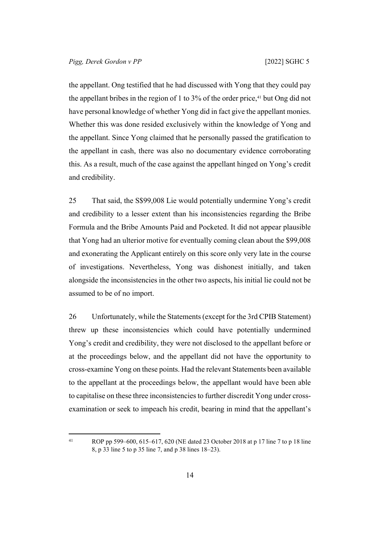the appellant. Ong testified that he had discussed with Yong that they could pay the appellant bribes in the region of 1 to  $3\%$  of the order price,<sup>41</sup> but Ong did not have personal knowledge of whether Yong did in fact give the appellant monies. Whether this was done resided exclusively within the knowledge of Yong and the appellant. Since Yong claimed that he personally passed the gratification to the appellant in cash, there was also no documentary evidence corroborating this. As a result, much of the case against the appellant hinged on Yong's credit and credibility.

25 That said, the S\$99,008 Lie would potentially undermine Yong's credit and credibility to a lesser extent than his inconsistencies regarding the Bribe Formula and the Bribe Amounts Paid and Pocketed. It did not appear plausible that Yong had an ulterior motive for eventually coming clean about the \$99,008 and exonerating the Applicant entirely on this score only very late in the course of investigations. Nevertheless, Yong was dishonest initially, and taken alongside the inconsistencies in the other two aspects, his initial lie could not be assumed to be of no import.

26 Unfortunately, while the Statements (except for the 3rd CPIB Statement) threw up these inconsistencies which could have potentially undermined Yong's credit and credibility, they were not disclosed to the appellant before or at the proceedings below, and the appellant did not have the opportunity to cross-examine Yong on these points. Had the relevant Statements been available to the appellant at the proceedings below, the appellant would have been able to capitalise on these three inconsistencies to further discredit Yong under crossexamination or seek to impeach his credit, bearing in mind that the appellant's

<sup>41</sup> ROP pp 599–600, 615–617, 620 (NE dated 23 October 2018 at p 17 line 7 to p 18 line 8, p 33 line 5 to p 35 line 7, and p 38 lines 18–23).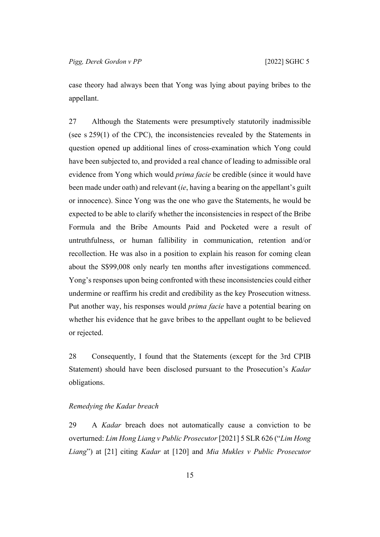case theory had always been that Yong was lying about paying bribes to the appellant.

<span id="page-17-1"></span>27 Although the Statements were presumptively statutorily inadmissible (see s 259(1) of the CPC), the inconsistencies revealed by the Statements in question opened up additional lines of cross-examination which Yong could have been subjected to, and provided a real chance of leading to admissible oral evidence from Yong which would *prima facie* be credible (since it would have been made under oath) and relevant (*ie*, having a bearing on the appellant's guilt or innocence). Since Yong was the one who gave the Statements, he would be expected to be able to clarify whether the inconsistencies in respect of the Bribe Formula and the Bribe Amounts Paid and Pocketed were a result of untruthfulness, or human fallibility in communication, retention and/or recollection. He was also in a position to explain his reason for coming clean about the S\$99,008 only nearly ten months after investigations commenced. Yong's responses upon being confronted with these inconsistencies could either undermine or reaffirm his credit and credibility as the key Prosecution witness. Put another way, his responses would *prima facie* have a potential bearing on whether his evidence that he gave bribes to the appellant ought to be believed or rejected.

28 Consequently, I found that the Statements (except for the 3rd CPIB Statement) should have been disclosed pursuant to the Prosecution's *Kadar* obligations.

#### <span id="page-17-0"></span>*Remedying the Kadar breach*

29 A *Kadar* breach does not automatically cause a conviction to be overturned: *Lim Hong Liang v Public Prosecutor* [2021] 5 SLR 626 ("*Lim Hong Liang*") at [21] citing *Kadar* at [120] and *Mia Mukles v Public Prosecutor*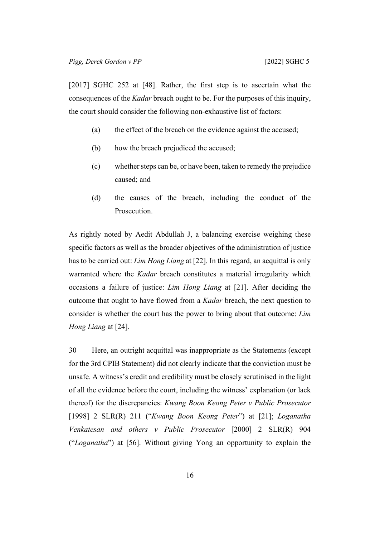[2017] SGHC 252 at [48]. Rather, the first step is to ascertain what the consequences of the *Kadar* breach ought to be. For the purposes of this inquiry, the court should consider the following non-exhaustive list of factors:

- (a) the effect of the breach on the evidence against the accused;
- (b) how the breach prejudiced the accused;
- (c) whether steps can be, or have been, taken to remedy the prejudice caused; and
- (d) the causes of the breach, including the conduct of the Prosecution.

As rightly noted by Aedit Abdullah J, a balancing exercise weighing these specific factors as well as the broader objectives of the administration of justice has to be carried out: *Lim Hong Liang* at [22]. In this regard, an acquittal is only warranted where the *Kadar* breach constitutes a material irregularity which occasions a failure of justice: *Lim Hong Liang* at [21]. After deciding the outcome that ought to have flowed from a *Kadar* breach, the next question to consider is whether the court has the power to bring about that outcome: *Lim Hong Liang* at [24].

30 Here, an outright acquittal was inappropriate as the Statements (except for the 3rd CPIB Statement) did not clearly indicate that the conviction must be unsafe. A witness's credit and credibility must be closely scrutinised in the light of all the evidence before the court, including the witness' explanation (or lack thereof) for the discrepancies: *Kwang Boon Keong Peter v Public Prosecutor*  [1998] 2 SLR(R) 211 ("*Kwang Boon Keong Peter*") at [21]; *Loganatha Venkatesan and others v Public Prosecutor* [2000] 2 SLR(R) 904 ("*Loganatha*") at [56]. Without giving Yong an opportunity to explain the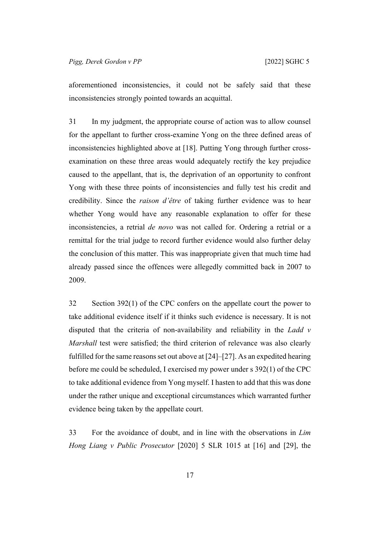aforementioned inconsistencies, it could not be safely said that these inconsistencies strongly pointed towards an acquittal.

31 In my judgment, the appropriate course of action was to allow counsel for the appellant to further cross-examine Yong on the three defined areas of inconsistencies highlighted above at [[18\]](#page-11-2). Putting Yong through further crossexamination on these three areas would adequately rectify the key prejudice caused to the appellant, that is, the deprivation of an opportunity to confront Yong with these three points of inconsistencies and fully test his credit and credibility. Since the *raison d'être* of taking further evidence was to hear whether Yong would have any reasonable explanation to offer for these inconsistencies, a retrial *de novo* was not called for. Ordering a retrial or a remittal for the trial judge to record further evidence would also further delay the conclusion of this matter. This was inappropriate given that much time had already passed since the offences were allegedly committed back in 2007 to 2009.

32 Section 392(1) of the CPC confers on the appellate court the power to take additional evidence itself if it thinks such evidence is necessary. It is not disputed that the criteria of non-availability and reliability in the *Ladd v Marshall* test were satisfied; the third criterion of relevance was also clearly fulfilled for the same reasons set out above at [\[24](#page-15-0)]–[\[27](#page-17-1)]. As an expedited hearing before me could be scheduled, I exercised my power under s 392(1) of the CPC to take additional evidence from Yong myself. I hasten to add that this was done under the rather unique and exceptional circumstances which warranted further evidence being taken by the appellate court.

33 For the avoidance of doubt, and in line with the observations in *Lim Hong Liang v Public Prosecutor* [2020] 5 SLR 1015 at [16] and [29], the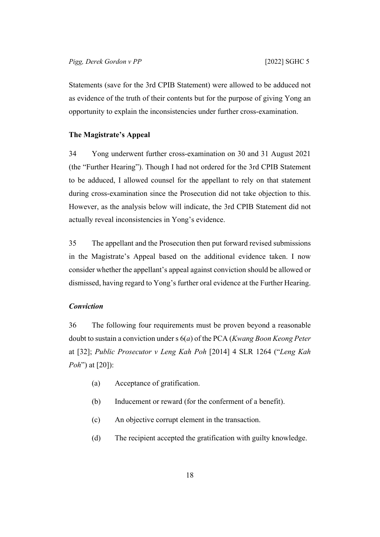Statements (save for the 3rd CPIB Statement) were allowed to be adduced not as evidence of the truth of their contents but for the purpose of giving Yong an opportunity to explain the inconsistencies under further cross-examination.

#### <span id="page-20-0"></span>**The Magistrate's Appeal**

34 Yong underwent further cross-examination on 30 and 31 August 2021 (the "Further Hearing"). Though I had not ordered for the 3rd CPIB Statement to be adduced, I allowed counsel for the appellant to rely on that statement during cross-examination since the Prosecution did not take objection to this. However, as the analysis below will indicate, the 3rd CPIB Statement did not actually reveal inconsistencies in Yong's evidence.

35 The appellant and the Prosecution then put forward revised submissions in the Magistrate's Appeal based on the additional evidence taken. I now consider whether the appellant's appeal against conviction should be allowed or dismissed, having regard to Yong's further oral evidence at the Further Hearing.

## <span id="page-20-1"></span>*Conviction*

36 The following four requirements must be proven beyond a reasonable doubt to sustain a conviction under s 6(*a*) of the PCA (*Kwang Boon Keong Peter*  at [32]; *Public Prosecutor v Leng Kah Poh* [2014] 4 SLR 1264 ("*Leng Kah Poh*") at [20]):

- (a) Acceptance of gratification.
- (b) Inducement or reward (for the conferment of a benefit).
- (c) An objective corrupt element in the transaction.
- (d) The recipient accepted the gratification with guilty knowledge.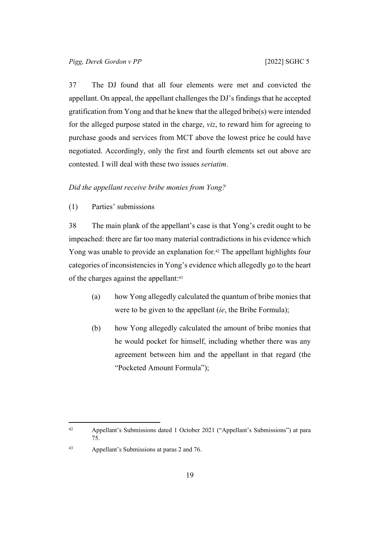37 The DJ found that all four elements were met and convicted the appellant. On appeal, the appellant challenges the DJ's findings that he accepted gratification from Yong and that he knew that the alleged bribe(s) were intended for the alleged purpose stated in the charge, *viz*, to reward him for agreeing to purchase goods and services from MCT above the lowest price he could have negotiated. Accordingly, only the first and fourth elements set out above are contested. I will deal with these two issues *seriatim*.

#### <span id="page-21-1"></span><span id="page-21-0"></span>*Did the appellant receive bribe monies from Yong?*

(1) Parties' submissions

38 The main plank of the appellant's case is that Yong's credit ought to be impeached: there are far too many material contradictions in his evidence which Yong was unable to provide an explanation for.<sup>42</sup> The appellant highlights four categories of inconsistencies in Yong's evidence which allegedly go to the heart of the charges against the appellant:<sup>43</sup>

- (a) how Yong allegedly calculated the quantum of bribe monies that were to be given to the appellant (*ie*, the Bribe Formula);
- <span id="page-21-2"></span>(b) how Yong allegedly calculated the amount of bribe monies that he would pocket for himself, including whether there was any agreement between him and the appellant in that regard (the "Pocketed Amount Formula");

43 Appellant's Submissions at paras 2 and 76.

<sup>42</sup> Appellant's Submissions dated 1 October 2021 ("Appellant's Submissions") at para 75.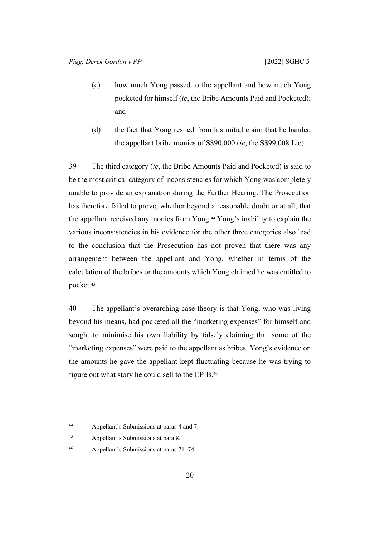- (c) how much Yong passed to the appellant and how much Yong pocketed for himself (*ie*, the Bribe Amounts Paid and Pocketed); and
- (d) the fact that Yong resiled from his initial claim that he handed the appellant bribe monies of S\$90,000 (*ie*, the S\$99,008 Lie).

39 The third category (*ie*, the Bribe Amounts Paid and Pocketed) is said to be the most critical category of inconsistencies for which Yong was completely unable to provide an explanation during the Further Hearing. The Prosecution has therefore failed to prove, whether beyond a reasonable doubt or at all, that the appellant received any monies from Yong.44 Yong's inability to explain the various inconsistencies in his evidence for the other three categories also lead to the conclusion that the Prosecution has not proven that there was any arrangement between the appellant and Yong, whether in terms of the calculation of the bribes or the amounts which Yong claimed he was entitled to pocket.<sup>45</sup>

40 The appellant's overarching case theory is that Yong, who was living beyond his means, had pocketed all the "marketing expenses" for himself and sought to minimise his own liability by falsely claiming that some of the "marketing expenses" were paid to the appellant as bribes. Yong's evidence on the amounts he gave the appellant kept fluctuating because he was trying to figure out what story he could sell to the CPIB.<sup>46</sup>

46 Appellant's Submissions at paras 71–74.

<sup>44</sup> Appellant's Submissions at paras 4 and 7.

<sup>45</sup> Appellant's Submissions at para 8.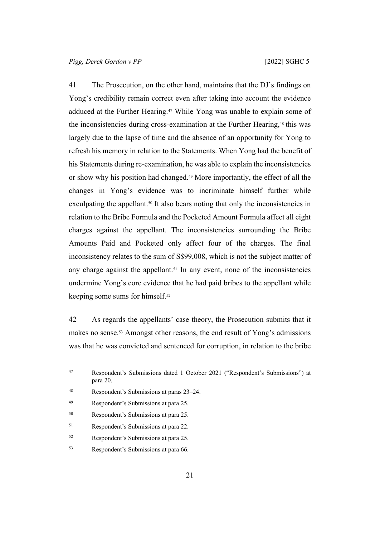41 The Prosecution, on the other hand, maintains that the DJ's findings on Yong's credibility remain correct even after taking into account the evidence adduced at the Further Hearing.<sup>47</sup> While Yong was unable to explain some of the inconsistencies during cross-examination at the Further Hearing,<sup>48</sup> this was largely due to the lapse of time and the absence of an opportunity for Yong to refresh his memory in relation to the Statements. When Yong had the benefit of his Statements during re-examination, he was able to explain the inconsistencies or show why his position had changed.49 More importantly, the effect of all the changes in Yong's evidence was to incriminate himself further while exculpating the appellant.<sup>50</sup> It also bears noting that only the inconsistencies in relation to the Bribe Formula and the Pocketed Amount Formula affect all eight charges against the appellant. The inconsistencies surrounding the Bribe Amounts Paid and Pocketed only affect four of the charges. The final inconsistency relates to the sum of S\$99,008, which is not the subject matter of any charge against the appellant.<sup>51</sup> In any event, none of the inconsistencies undermine Yong's core evidence that he had paid bribes to the appellant while keeping some sums for himself.<sup>52</sup>

42 As regards the appellants' case theory, the Prosecution submits that it makes no sense.53 Amongst other reasons, the end result of Yong's admissions was that he was convicted and sentenced for corruption, in relation to the bribe

| 47 | Respondent's Submissions dated 1 October 2021 ("Respondent's Submissions") at<br>para 20. |
|----|-------------------------------------------------------------------------------------------|
| 48 | Respondent's Submissions at paras 23–24.                                                  |
| 49 | Respondent's Submissions at para 25.                                                      |
| 50 | Respondent's Submissions at para 25.                                                      |
| 51 | Respondent's Submissions at para 22.                                                      |
| 52 | Respondent's Submissions at para 25.                                                      |
| 53 | Respondent's Submissions at para 66.                                                      |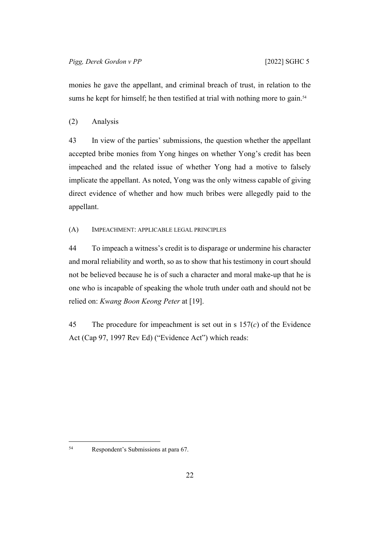monies he gave the appellant, and criminal breach of trust, in relation to the sums he kept for himself; he then testified at trial with nothing more to gain.<sup>54</sup>

## <span id="page-24-0"></span>(2) Analysis

43 In view of the parties' submissions, the question whether the appellant accepted bribe monies from Yong hinges on whether Yong's credit has been impeached and the related issue of whether Yong had a motive to falsely implicate the appellant. As noted, Yong was the only witness capable of giving direct evidence of whether and how much bribes were allegedly paid to the appellant.

## <span id="page-24-1"></span>(A) IMPEACHMENT: APPLICABLE LEGAL PRINCIPLES

44 To impeach a witness's credit is to disparage or undermine his character and moral reliability and worth, so as to show that his testimony in court should not be believed because he is of such a character and moral make-up that he is one who is incapable of speaking the whole truth under oath and should not be relied on: *Kwang Boon Keong Peter* at [19].

45 The procedure for impeachment is set out in s 157(*c*) of the Evidence Act (Cap 97, 1997 Rev Ed) ("Evidence Act") which reads:

<sup>54</sup> Respondent's Submissions at para 67.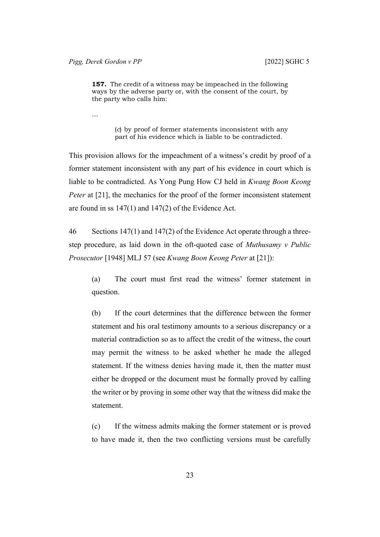**157.** The credit of a witness may be impeached in the following ways by the adverse party or, with the consent of the court, by the party who calls him:

…

(*c*) by proof of former statements inconsistent with any part of his evidence which is liable to be contradicted.

This provision allows for the impeachment of a witness's credit by proof of a former statement inconsistent with any part of his evidence in court which is liable to be contradicted. As Yong Pung How CJ held in *Kwang Boon Keong Peter* at [21], the mechanics for the proof of the former inconsistent statement are found in ss 147(1) and 147(2) of the Evidence Act.

46 Sections 147(1) and 147(2) of the Evidence Act operate through a threestep procedure, as laid down in the oft-quoted case of *Muthusamy v Public Prosecutor* [1948] MLJ 57 (see *Kwang Boon Keong Peter* at [21]):

(a) The court must first read the witness' former statement in question.

(b) If the court determines that the difference between the former statement and his oral testimony amounts to a serious discrepancy or a material contradiction so as to affect the credit of the witness, the court may permit the witness to be asked whether he made the alleged statement. If the witness denies having made it, then the matter must either be dropped or the document must be formally proved by calling the writer or by proving in some other way that the witness did make the statement.

(c) If the witness admits making the former statement or is proved to have made it, then the two conflicting versions must be carefully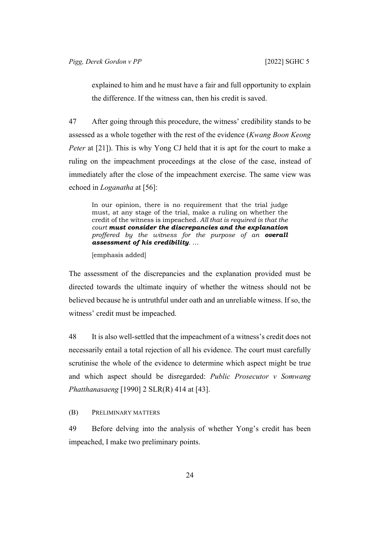explained to him and he must have a fair and full opportunity to explain the difference. If the witness can, then his credit is saved.

47 After going through this procedure, the witness' credibility stands to be assessed as a whole together with the rest of the evidence (*Kwang Boon Keong Peter* at [21]). This is why Yong CJ held that it is apt for the court to make a ruling on the impeachment proceedings at the close of the case, instead of immediately after the close of the impeachment exercise. The same view was echoed in *Loganatha* at [56]:

In our opinion, there is no requirement that the trial judge must, at any stage of the trial, make a ruling on whether the credit of the witness is impeached. *All that is required is that the court must consider the discrepancies and the explanation proffered by the witness for the purpose of an overall assessment of his credibility.* …

[emphasis added]

The assessment of the discrepancies and the explanation provided must be directed towards the ultimate inquiry of whether the witness should not be believed because he is untruthful under oath and an unreliable witness. If so, the witness' credit must be impeached.

48 It is also well-settled that the impeachment of a witness's credit does not necessarily entail a total rejection of all his evidence. The court must carefully scrutinise the whole of the evidence to determine which aspect might be true and which aspect should be disregarded: *Public Prosecutor v Somwang Phatthanasaeng* [1990] 2 SLR(R) 414 at [43].

<span id="page-26-0"></span>(B) PRELIMINARY MATTERS

49 Before delving into the analysis of whether Yong's credit has been impeached, I make two preliminary points.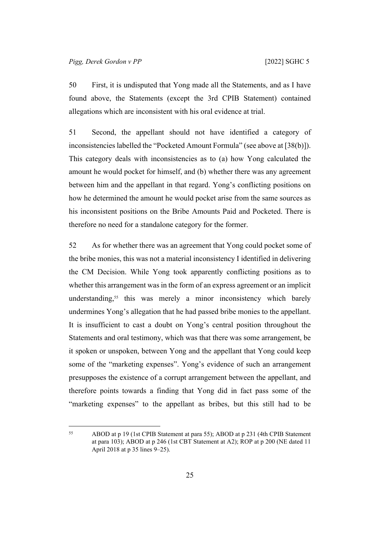50 First, it is undisputed that Yong made all the Statements, and as I have found above, the Statements (except the 3rd CPIB Statement) contained allegations which are inconsistent with his oral evidence at trial.

51 Second, the appellant should not have identified a category of inconsistencies labelled the "Pocketed Amount Formula" (see above at [\[38\(b\)](#page-21-2)]). This category deals with inconsistencies as to (a) how Yong calculated the amount he would pocket for himself, and (b) whether there was any agreement between him and the appellant in that regard. Yong's conflicting positions on how he determined the amount he would pocket arise from the same sources as his inconsistent positions on the Bribe Amounts Paid and Pocketed. There is therefore no need for a standalone category for the former.

52 As for whether there was an agreement that Yong could pocket some of the bribe monies, this was not a material inconsistency I identified in delivering the CM Decision. While Yong took apparently conflicting positions as to whether this arrangement was in the form of an express agreement or an implicit understanding,<sup>55</sup> this was merely a minor inconsistency which barely undermines Yong's allegation that he had passed bribe monies to the appellant. It is insufficient to cast a doubt on Yong's central position throughout the Statements and oral testimony, which was that there was some arrangement, be it spoken or unspoken, between Yong and the appellant that Yong could keep some of the "marketing expenses". Yong's evidence of such an arrangement presupposes the existence of a corrupt arrangement between the appellant, and therefore points towards a finding that Yong did in fact pass some of the "marketing expenses" to the appellant as bribes, but this still had to be

<sup>55</sup> ABOD at p 19 (1st CPIB Statement at para 55); ABOD at p 231 (4th CPIB Statement at para 103); ABOD at p 246 (1st CBT Statement at A2); ROP at p 200 (NE dated 11 April 2018 at p 35 lines 9–25).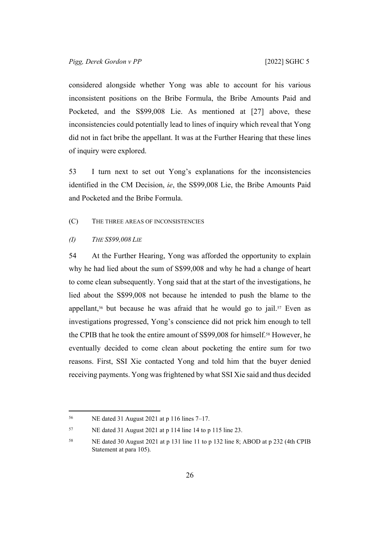considered alongside whether Yong was able to account for his various inconsistent positions on the Bribe Formula, the Bribe Amounts Paid and Pocketed, and the S\$99,008 Lie. As mentioned at [[27\]](#page-17-1) above, these inconsistencies could potentially lead to lines of inquiry which reveal that Yong did not in fact bribe the appellant. It was at the Further Hearing that these lines of inquiry were explored.

53 I turn next to set out Yong's explanations for the inconsistencies identified in the CM Decision, *ie*, the S\$99,008 Lie, the Bribe Amounts Paid and Pocketed and the Bribe Formula.

<span id="page-28-1"></span><span id="page-28-0"></span>(C) THE THREE AREAS OF INCONSISTENCIES

*(I) THE S\$99,008 LIE*

54 At the Further Hearing, Yong was afforded the opportunity to explain why he had lied about the sum of S\$99,008 and why he had a change of heart to come clean subsequently. Yong said that at the start of the investigations, he lied about the S\$99,008 not because he intended to push the blame to the appellant,<sup>56</sup> but because he was afraid that he would go to jail.<sup>57</sup> Even as investigations progressed, Yong's conscience did not prick him enough to tell the CPIB that he took the entire amount of S\$99,008 for himself.58 However, he eventually decided to come clean about pocketing the entire sum for two reasons. First, SSI Xie contacted Yong and told him that the buyer denied receiving payments. Yong was frightened by what SSI Xie said and thus decided

<sup>56</sup> NE dated 31 August 2021 at p 116 lines 7–17.

<sup>57</sup> NE dated 31 August 2021 at p 114 line 14 to p 115 line 23.

<sup>58</sup> NE dated 30 August 2021 at p 131 line 11 to p 132 line 8; ABOD at p 232 (4th CPIB Statement at para 105).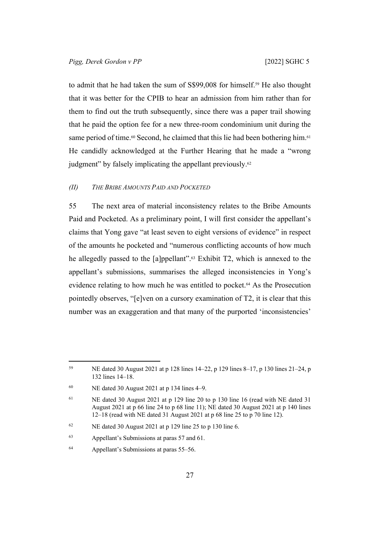to admit that he had taken the sum of S\$99,008 for himself.<sup>59</sup> He also thought that it was better for the CPIB to hear an admission from him rather than for them to find out the truth subsequently, since there was a paper trail showing that he paid the option fee for a new three-room condominium unit during the same period of time.<sup>60</sup> Second, he claimed that this lie had been bothering him.<sup>61</sup> He candidly acknowledged at the Further Hearing that he made a "wrong judgment" by falsely implicating the appellant previously.<sup>62</sup>

## <span id="page-29-0"></span>*(II) THE BRIBE AMOUNTS PAID AND POCKETED*

55 The next area of material inconsistency relates to the Bribe Amounts Paid and Pocketed. As a preliminary point, I will first consider the appellant's claims that Yong gave "at least seven to eight versions of evidence" in respect of the amounts he pocketed and "numerous conflicting accounts of how much he allegedly passed to the [a]ppellant".63 Exhibit T2, which is annexed to the appellant's submissions, summarises the alleged inconsistencies in Yong's evidence relating to how much he was entitled to pocket.64 As the Prosecution pointedly observes, "[e]ven on a cursory examination of T2, it is clear that this number was an exaggeration and that many of the purported 'inconsistencies'

<sup>59</sup> NE dated 30 August 2021 at p 128 lines 14–22, p 129 lines 8–17, p 130 lines 21–24, p 132 lines 14–18.

 $60$  NE dated 30 August 2021 at p 134 lines 4–9.

<sup>&</sup>lt;sup>61</sup> NE dated 30 August 2021 at p 129 line 20 to p 130 line 16 (read with NE dated 31) August 2021 at p 66 line 24 to p 68 line 11); NE dated 30 August 2021 at p 140 lines 12–18 (read with NE dated 31 August 2021 at p 68 line 25 to p 70 line 12).

<sup>&</sup>lt;sup>62</sup> NE dated 30 August 2021 at p 129 line 25 to p 130 line 6.

<sup>63</sup> Appellant's Submissions at paras 57 and 61.

<sup>64</sup> Appellant's Submissions at paras 55–56.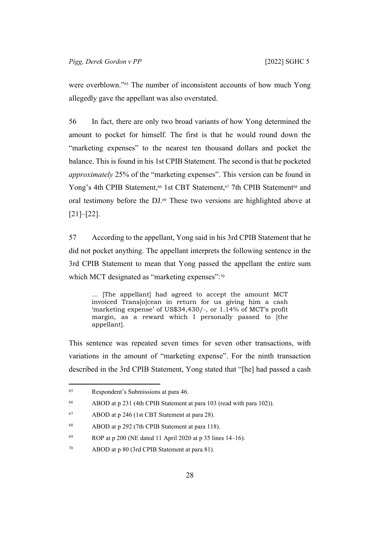were overblown."65 The number of inconsistent accounts of how much Yong allegedly gave the appellant was also overstated.

56 In fact, there are only two broad variants of how Yong determined the amount to pocket for himself. The first is that he would round down the "marketing expenses" to the nearest ten thousand dollars and pocket the balance. This is found in his 1st CPIB Statement. The second is that he pocketed *approximately* 25% of the "marketing expenses". This version can be found in Yong's 4th CPIB Statement,<sup>66</sup> 1st CBT Statement,<sup>67</sup> 7th CPIB Statement<sup>68</sup> and oral testimony before the DJ.69 These two versions are highlighted above at [[21\]](#page-12-0)–[[22\]](#page-13-0).

57 According to the appellant, Yong said in his 3rd CPIB Statement that he did not pocket anything. The appellant interprets the following sentence in the 3rd CPIB Statement to mean that Yong passed the appellant the entire sum which MCT designated as "marketing expenses":<sup>70</sup>

… [The appellant] had agreed to accept the amount MCT invoiced Trans[o]cean in return for us giving him a cash 'marketing expense' of US\$34,430/-, or 1.14% of MCT's profit margin, as a reward which I personally passed to [the appellant].

This sentence was repeated seven times for seven other transactions, with variations in the amount of "marketing expense". For the ninth transaction described in the 3rd CPIB Statement, Yong stated that "[he] had passed a cash

<sup>65</sup> Respondent's Submissions at para 46.

<sup>66</sup> ABOD at p 231 (4th CPIB Statement at para 103 (read with para 102)).

<sup>67</sup> ABOD at p 246 (1st CBT Statement at para 28).

<sup>68</sup> ABOD at p 292 (7th CPIB Statement at para 118).

<sup>69</sup> ROP at p 200 (NE dated 11 April 2020 at p 35 lines  $14-16$ ).

<sup>70</sup> ABOD at p 80 (3rd CPIB Statement at para 81).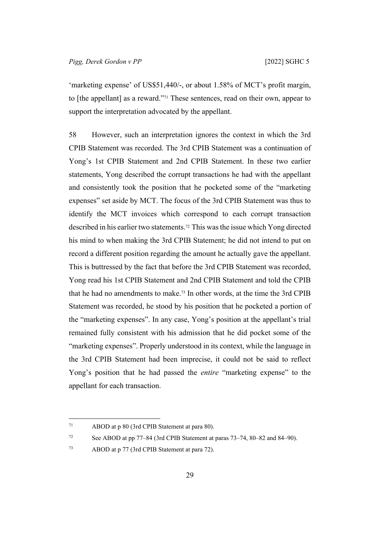'marketing expense' of US\$51,440/-, or about 1.58% of MCT's profit margin, to [the appellant] as a reward."71 These sentences, read on their own, appear to support the interpretation advocated by the appellant.

58 However, such an interpretation ignores the context in which the 3rd CPIB Statement was recorded. The 3rd CPIB Statement was a continuation of Yong's 1st CPIB Statement and 2nd CPIB Statement. In these two earlier statements, Yong described the corrupt transactions he had with the appellant and consistently took the position that he pocketed some of the "marketing expenses" set aside by MCT. The focus of the 3rd CPIB Statement was thus to identify the MCT invoices which correspond to each corrupt transaction described in his earlier two statements.72 This was the issue which Yong directed his mind to when making the 3rd CPIB Statement; he did not intend to put on record a different position regarding the amount he actually gave the appellant. This is buttressed by the fact that before the 3rd CPIB Statement was recorded, Yong read his 1st CPIB Statement and 2nd CPIB Statement and told the CPIB that he had no amendments to make.73 In other words, at the time the 3rd CPIB Statement was recorded, he stood by his position that he pocketed a portion of the "marketing expenses". In any case, Yong's position at the appellant's trial remained fully consistent with his admission that he did pocket some of the "marketing expenses". Properly understood in its context, while the language in the 3rd CPIB Statement had been imprecise, it could not be said to reflect Yong's position that he had passed the *entire* "marketing expense" to the appellant for each transaction.

<sup>71</sup> ABOD at p 80 (3rd CPIB Statement at para 80).

<sup>72</sup> See ABOD at pp 77–84 (3rd CPIB Statement at paras 73–74, 80–82 and 84–90).

<sup>73</sup> ABOD at p 77 (3rd CPIB Statement at para 72).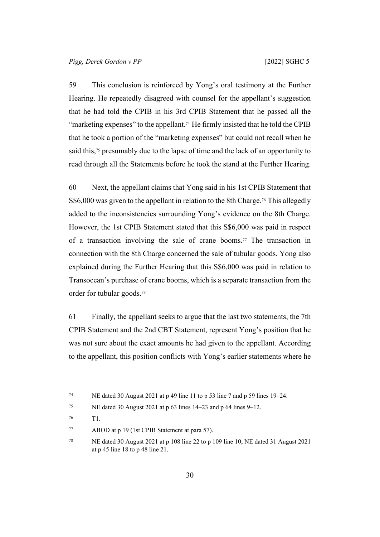59 This conclusion is reinforced by Yong's oral testimony at the Further Hearing. He repeatedly disagreed with counsel for the appellant's suggestion that he had told the CPIB in his 3rd CPIB Statement that he passed all the "marketing expenses" to the appellant.<sup>74</sup> He firmly insisted that he told the CPIB that he took a portion of the "marketing expenses" but could not recall when he said this,<sup>75</sup> presumably due to the lapse of time and the lack of an opportunity to read through all the Statements before he took the stand at the Further Hearing.

60 Next, the appellant claims that Yong said in his 1st CPIB Statement that S\$6,000 was given to the appellant in relation to the 8th Charge.<sup>76</sup> This allegedly added to the inconsistencies surrounding Yong's evidence on the 8th Charge. However, the 1st CPIB Statement stated that this S\$6,000 was paid in respect of a transaction involving the sale of crane booms.<sup>77</sup> The transaction in connection with the 8th Charge concerned the sale of tubular goods. Yong also explained during the Further Hearing that this S\$6,000 was paid in relation to Transocean's purchase of crane booms, which is a separate transaction from the order for tubular goods.<sup>78</sup>

61 Finally, the appellant seeks to argue that the last two statements, the 7th CPIB Statement and the 2nd CBT Statement, represent Yong's position that he was not sure about the exact amounts he had given to the appellant. According to the appellant, this position conflicts with Yong's earlier statements where he

<sup>&</sup>lt;sup>74</sup> NE dated 30 August 2021 at p 49 line 11 to p 53 line 7 and p 59 lines 19–24.

<sup>&</sup>lt;sup>75</sup> NE dated 30 August 2021 at p 63 lines 14–23 and p 64 lines 9–12.

<sup>76</sup> T1.

<sup>77</sup> ABOD at p 19 (1st CPIB Statement at para 57).

<sup>78</sup> NE dated 30 August 2021 at p 108 line 22 to p 109 line 10; NE dated 31 August 2021 at p 45 line 18 to p 48 line 21.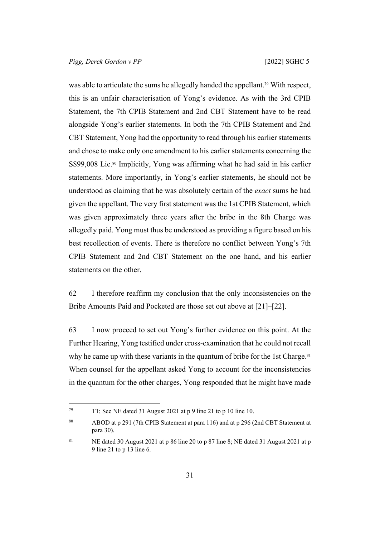was able to articulate the sums he allegedly handed the appellant.<sup>79</sup> With respect, this is an unfair characterisation of Yong's evidence. As with the 3rd CPIB Statement, the 7th CPIB Statement and 2nd CBT Statement have to be read alongside Yong's earlier statements. In both the 7th CPIB Statement and 2nd CBT Statement, Yong had the opportunity to read through his earlier statements and chose to make only one amendment to his earlier statements concerning the S\$99,008 Lie.<sup>80</sup> Implicitly, Yong was affirming what he had said in his earlier statements. More importantly, in Yong's earlier statements, he should not be understood as claiming that he was absolutely certain of the *exact* sums he had given the appellant. The very first statement was the 1st CPIB Statement, which was given approximately three years after the bribe in the 8th Charge was allegedly paid. Yong must thus be understood as providing a figure based on his best recollection of events. There is therefore no conflict between Yong's 7th CPIB Statement and 2nd CBT Statement on the one hand, and his earlier statements on the other.

62 I therefore reaffirm my conclusion that the only inconsistencies on the Bribe Amounts Paid and Pocketed are those set out above at [\[21](#page-12-0)]–[\[22](#page-13-0)].

63 I now proceed to set out Yong's further evidence on this point. At the Further Hearing, Yong testified under cross-examination that he could not recall why he came up with these variants in the quantum of bribe for the 1st Charge.<sup>81</sup> When counsel for the appellant asked Yong to account for the inconsistencies in the quantum for the other charges, Yong responded that he might have made

<sup>79</sup> T1; See NE dated 31 August 2021 at p 9 line 21 to p 10 line 10.

<sup>80</sup> ABOD at p 291 (7th CPIB Statement at para 116) and at p 296 (2nd CBT Statement at para 30).

<sup>&</sup>lt;sup>81</sup> NE dated 30 August 2021 at p 86 line 20 to p 87 line 8; NE dated 31 August 2021 at p 9 line 21 to p 13 line 6.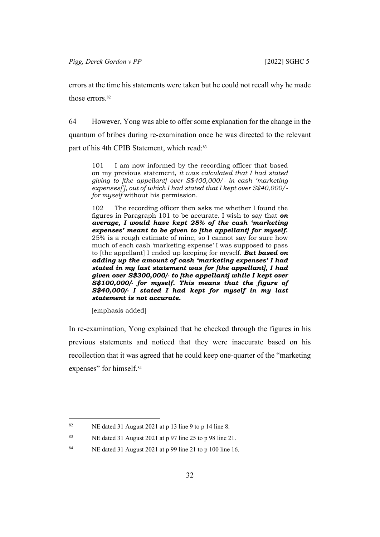errors at the time his statements were taken but he could not recall why he made those errors.<sup>82</sup>

<span id="page-34-0"></span>64 However, Yong was able to offer some explanation for the change in the quantum of bribes during re-examination once he was directed to the relevant part of his 4th CPIB Statement, which read:<sup>83</sup>

101 I am now informed by the recording officer that based on my previous statement, *it was calculated that I had stated giving to [the appellant] over S\$400,000/- in cash 'marketing expenses['], out of which I had stated that I kept over S\$40,000/ for myself* without his permission.

102 The recording officer then asks me whether I found the figures in Paragraph 101 to be accurate. I wish to say that *on average, I would have kept 25% of the cash 'marketing expenses' meant to be given to [the appellant] for myself.* 25% is a rough estimate of mine, so I cannot say for sure how much of each cash 'marketing expense' I was supposed to pass to [the appellant] I ended up keeping for myself. *But based on adding up the amount of cash 'marketing expenses' I had stated in my last statement was for [the appellant], I had given over S\$300,000/- to [the appellant] while I kept over S\$100,000/- for myself. This means that the figure of S\$40,000/- I stated I had kept for myself in my last statement is not accurate.*

[emphasis added]

In re-examination, Yong explained that he checked through the figures in his previous statements and noticed that they were inaccurate based on his recollection that it was agreed that he could keep one-quarter of the "marketing expenses" for himself.<sup>84</sup>

<sup>82</sup> NE dated 31 August 2021 at p 13 line 9 to p 14 line 8.

<sup>83</sup> NE dated 31 August 2021 at p 97 line 25 to p 98 line 21.

<sup>84</sup> NE dated 31 August 2021 at p 99 line 21 to p 100 line 16.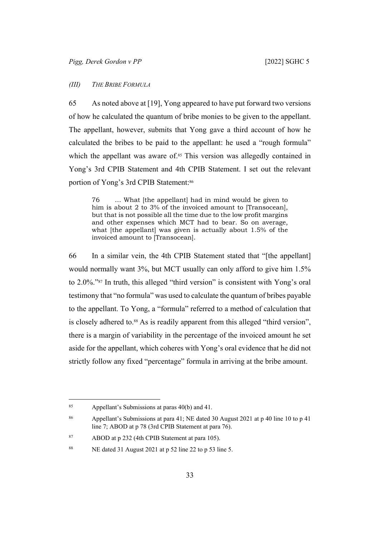## <span id="page-35-0"></span>*(III) THE BRIBE FORMULA*

65 As noted above at [\[19](#page-12-1)], Yong appeared to have put forward two versions of how he calculated the quantum of bribe monies to be given to the appellant. The appellant, however, submits that Yong gave a third account of how he calculated the bribes to be paid to the appellant: he used a "rough formula" which the appellant was aware of.<sup>85</sup> This version was allegedly contained in Yong's 3rd CPIB Statement and 4th CPIB Statement. I set out the relevant portion of Yong's 3rd CPIB Statement:<sup>86</sup>

76 … What [the appellant] had in mind would be given to him is about 2 to 3% of the invoiced amount to [Transocean], but that is not possible all the time due to the low profit margins and other expenses which MCT had to bear. So on average, what [the appellant] was given is actually about 1.5% of the invoiced amount to [Transocean].

66 In a similar vein, the 4th CPIB Statement stated that "[the appellant] would normally want 3%, but MCT usually can only afford to give him 1.5% to 2.0%."87 In truth, this alleged "third version" is consistent with Yong's oral testimony that "no formula" was used to calculate the quantum of bribes payable to the appellant. To Yong, a "formula" referred to a method of calculation that is closely adhered to.<sup>88</sup> As is readily apparent from this alleged "third version", there is a margin of variability in the percentage of the invoiced amount he set aside for the appellant, which coheres with Yong's oral evidence that he did not strictly follow any fixed "percentage" formula in arriving at the bribe amount.

<sup>85</sup> Appellant's Submissions at paras  $40(b)$  and  $41$ .

<sup>86</sup> Appellant's Submissions at para 41; NE dated 30 August 2021 at p 40 line 10 to p 41 line 7; ABOD at p 78 (3rd CPIB Statement at para 76).

<sup>87</sup> ABOD at p 232 (4th CPIB Statement at para 105).

<sup>88</sup> NE dated 31 August 2021 at p 52 line 22 to p 53 line 5.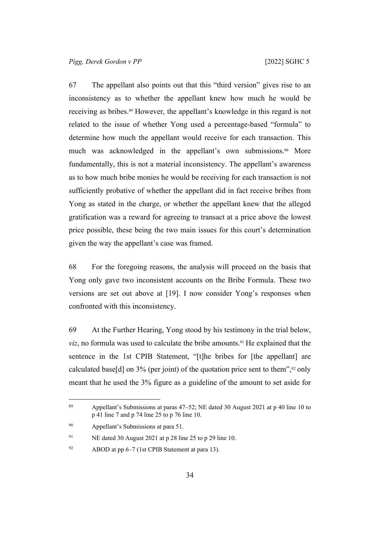67 The appellant also points out that this "third version" gives rise to an inconsistency as to whether the appellant knew how much he would be receiving as bribes.<sup>89</sup> However, the appellant's knowledge in this regard is not related to the issue of whether Yong used a percentage-based "formula" to determine how much the appellant would receive for each transaction. This much was acknowledged in the appellant's own submissions.<sup>90</sup> More fundamentally, this is not a material inconsistency. The appellant's awareness as to how much bribe monies he would be receiving for each transaction is not sufficiently probative of whether the appellant did in fact receive bribes from Yong as stated in the charge, or whether the appellant knew that the alleged gratification was a reward for agreeing to transact at a price above the lowest price possible, these being the two main issues for this court's determination given the way the appellant's case was framed.

68 For the foregoing reasons, the analysis will proceed on the basis that Yong only gave two inconsistent accounts on the Bribe Formula. These two versions are set out above at [[19\]](#page-12-1). I now consider Yong's responses when confronted with this inconsistency.

<span id="page-36-0"></span>69 At the Further Hearing, Yong stood by his testimony in the trial below, *viz*, no formula was used to calculate the bribe amounts.<sup>91</sup> He explained that the sentence in the 1st CPIB Statement, "[t]he bribes for [the appellant] are calculated base[d] on  $3\%$  (per joint) of the quotation price sent to them",<sup>92</sup> only meant that he used the 3% figure as a guideline of the amount to set aside for

<sup>91</sup> NE dated 30 August 2021 at p 28 line 25 to p 29 line 10.

<sup>89</sup> Appellant's Submissions at paras 47–52; NE dated 30 August 2021 at p 40 line 10 to p 41 line 7 and p 74 line 25 to p 76 line 10.

<sup>90</sup> Appellant's Submissions at para 51.

<sup>92</sup> ABOD at pp  $6-7$  (1st CPIB Statement at para 13).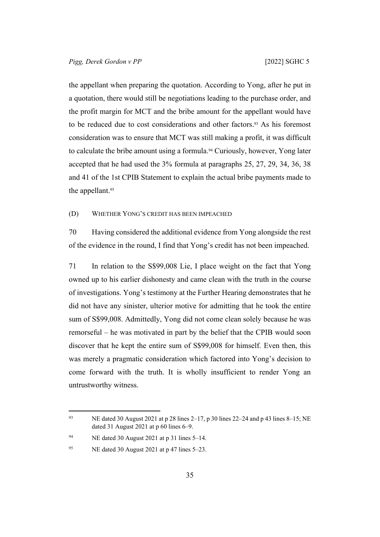the appellant when preparing the quotation. According to Yong, after he put in a quotation, there would still be negotiations leading to the purchase order, and the profit margin for MCT and the bribe amount for the appellant would have to be reduced due to cost considerations and other factors.<sup>93</sup> As his foremost consideration was to ensure that MCT was still making a profit, it was difficult to calculate the bribe amount using a formula.<sup>94</sup> Curiously, however, Yong later accepted that he had used the 3% formula at paragraphs 25, 27, 29, 34, 36, 38 and 41 of the 1st CPIB Statement to explain the actual bribe payments made to the appellant.<sup>95</sup>

<span id="page-37-0"></span>(D) WHETHER YONG'S CREDIT HAS BEEN IMPEACHED

70 Having considered the additional evidence from Yong alongside the rest of the evidence in the round, I find that Yong's credit has not been impeached.

71 In relation to the S\$99,008 Lie, I place weight on the fact that Yong owned up to his earlier dishonesty and came clean with the truth in the course of investigations. Yong's testimony at the Further Hearing demonstrates that he did not have any sinister, ulterior motive for admitting that he took the entire sum of S\$99,008. Admittedly, Yong did not come clean solely because he was remorseful – he was motivated in part by the belief that the CPIB would soon discover that he kept the entire sum of S\$99,008 for himself. Even then, this was merely a pragmatic consideration which factored into Yong's decision to come forward with the truth. It is wholly insufficient to render Yong an untrustworthy witness.

<sup>93</sup> NE dated 30 August 2021 at p 28 lines  $2-17$ , p 30 lines  $22-24$  and p 43 lines  $8-15$ ; NE dated 31 August 2021 at p 60 lines 6–9.

<sup>94</sup> NE dated 30 August 2021 at p 31 lines 5–14.

<sup>&</sup>lt;sup>95</sup> NE dated 30 August 2021 at p 47 lines  $5-23$ .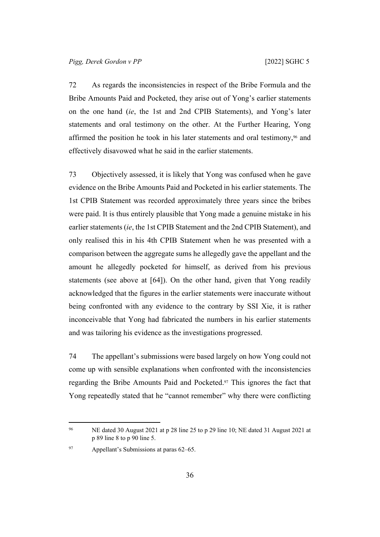72 As regards the inconsistencies in respect of the Bribe Formula and the Bribe Amounts Paid and Pocketed, they arise out of Yong's earlier statements on the one hand (*ie*, the 1st and 2nd CPIB Statements), and Yong's later statements and oral testimony on the other. At the Further Hearing, Yong affirmed the position he took in his later statements and oral testimony,96 and effectively disavowed what he said in the earlier statements.

73 Objectively assessed, it is likely that Yong was confused when he gave evidence on the Bribe Amounts Paid and Pocketed in his earlier statements. The 1st CPIB Statement was recorded approximately three years since the bribes were paid. It is thus entirely plausible that Yong made a genuine mistake in his earlier statements (*ie*, the 1st CPIB Statement and the 2nd CPIB Statement), and only realised this in his 4th CPIB Statement when he was presented with a comparison between the aggregate sums he allegedly gave the appellant and the amount he allegedly pocketed for himself, as derived from his previous statements (see above at [\[64](#page-34-0)]). On the other hand, given that Yong readily acknowledged that the figures in the earlier statements were inaccurate without being confronted with any evidence to the contrary by SSI Xie, it is rather inconceivable that Yong had fabricated the numbers in his earlier statements and was tailoring his evidence as the investigations progressed.

74 The appellant's submissions were based largely on how Yong could not come up with sensible explanations when confronted with the inconsistencies regarding the Bribe Amounts Paid and Pocketed.97 This ignores the fact that Yong repeatedly stated that he "cannot remember" why there were conflicting

97 Appellant's Submissions at paras 62–65.

<sup>96</sup> NE dated 30 August 2021 at p 28 line 25 to p 29 line 10; NE dated 31 August 2021 at p 89 line 8 to p 90 line 5.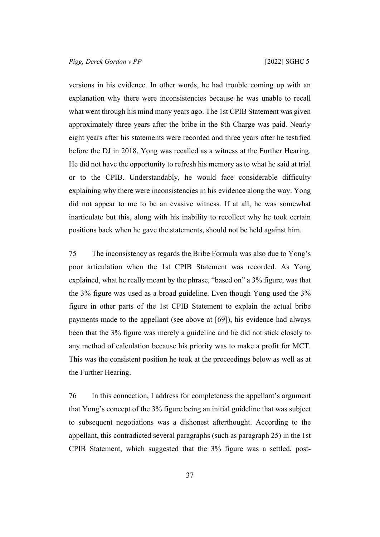versions in his evidence. In other words, he had trouble coming up with an explanation why there were inconsistencies because he was unable to recall what went through his mind many years ago. The 1st CPIB Statement was given approximately three years after the bribe in the 8th Charge was paid. Nearly eight years after his statements were recorded and three years after he testified before the DJ in 2018, Yong was recalled as a witness at the Further Hearing. He did not have the opportunity to refresh his memory as to what he said at trial or to the CPIB. Understandably, he would face considerable difficulty explaining why there were inconsistencies in his evidence along the way. Yong did not appear to me to be an evasive witness. If at all, he was somewhat inarticulate but this, along with his inability to recollect why he took certain positions back when he gave the statements, should not be held against him.

75 The inconsistency as regards the Bribe Formula was also due to Yong's poor articulation when the 1st CPIB Statement was recorded. As Yong explained, what he really meant by the phrase, "based on" a 3% figure, was that the 3% figure was used as a broad guideline. Even though Yong used the 3% figure in other parts of the 1st CPIB Statement to explain the actual bribe payments made to the appellant (see above at [[69\]](#page-36-0)), his evidence had always been that the 3% figure was merely a guideline and he did not stick closely to any method of calculation because his priority was to make a profit for MCT. This was the consistent position he took at the proceedings below as well as at the Further Hearing.

76 In this connection, I address for completeness the appellant's argument that Yong's concept of the 3% figure being an initial guideline that was subject to subsequent negotiations was a dishonest afterthought. According to the appellant, this contradicted several paragraphs (such as paragraph 25) in the 1st CPIB Statement, which suggested that the 3% figure was a settled, post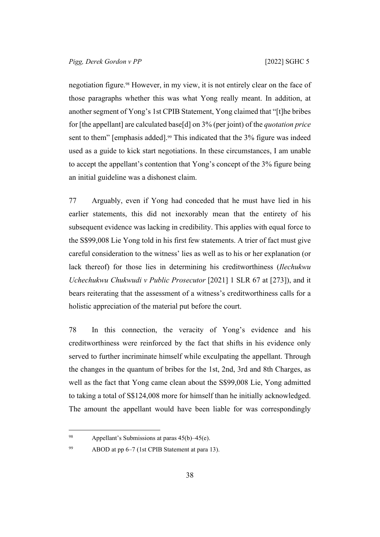negotiation figure.98 However, in my view, it is not entirely clear on the face of those paragraphs whether this was what Yong really meant. In addition, at another segment of Yong's 1st CPIB Statement, Yong claimed that "[t]he bribes for [the appellant] are calculated base[d] on 3% (per joint) of the *quotation price* sent to them" [emphasis added].<sup>99</sup> This indicated that the 3% figure was indeed used as a guide to kick start negotiations. In these circumstances, I am unable to accept the appellant's contention that Yong's concept of the 3% figure being an initial guideline was a dishonest claim.

77 Arguably, even if Yong had conceded that he must have lied in his earlier statements, this did not inexorably mean that the entirety of his subsequent evidence was lacking in credibility. This applies with equal force to the S\$99,008 Lie Yong told in his first few statements. A trier of fact must give careful consideration to the witness' lies as well as to his or her explanation (or lack thereof) for those lies in determining his creditworthiness (*Ilechukwu Uchechukwu Chukwudi v Public Prosecutor* [2021] 1 SLR 67 at [273]), and it bears reiterating that the assessment of a witness's creditworthiness calls for a holistic appreciation of the material put before the court.

78 In this connection, the veracity of Yong's evidence and his creditworthiness were reinforced by the fact that shifts in his evidence only served to further incriminate himself while exculpating the appellant. Through the changes in the quantum of bribes for the 1st, 2nd, 3rd and 8th Charges, as well as the fact that Yong came clean about the S\$99,008 Lie, Yong admitted to taking a total of S\$124,008 more for himself than he initially acknowledged. The amount the appellant would have been liable for was correspondingly

99 ABOD at pp 6–7 (1st CPIB Statement at para 13).

<sup>98</sup> Appellant's Submissions at paras  $45(b) - 45(e)$ .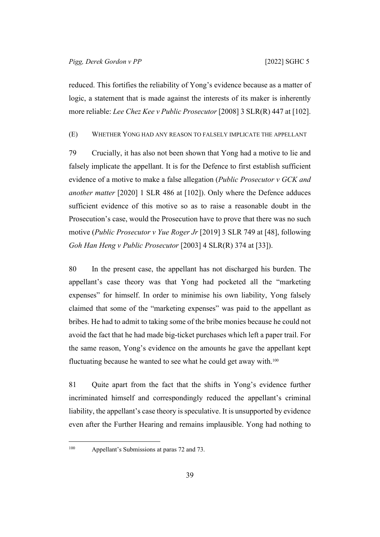reduced. This fortifies the reliability of Yong's evidence because as a matter of logic, a statement that is made against the interests of its maker is inherently more reliable: *Lee Chez Kee v Public Prosecutor* [2008] 3 SLR(R) 447 at [102].

<span id="page-41-0"></span>(E) WHETHER YONG HAD ANY REASON TO FALSELY IMPLICATE THE APPELLANT

79 Crucially, it has also not been shown that Yong had a motive to lie and falsely implicate the appellant. It is for the Defence to first establish sufficient evidence of a motive to make a false allegation (*Public Prosecutor v GCK and another matter* [2020] 1 SLR 486 at [102]). Only where the Defence adduces sufficient evidence of this motive so as to raise a reasonable doubt in the Prosecution's case, would the Prosecution have to prove that there was no such motive (*Public Prosecutor v Yue Roger Jr* [2019] 3 SLR 749 at [48], following *Goh Han Heng v Public Prosecutor* [2003] 4 SLR(R) 374 at [33]).

80 In the present case, the appellant has not discharged his burden. The appellant's case theory was that Yong had pocketed all the "marketing expenses" for himself. In order to minimise his own liability, Yong falsely claimed that some of the "marketing expenses" was paid to the appellant as bribes. He had to admit to taking some of the bribe monies because he could not avoid the fact that he had made big-ticket purchases which left a paper trail. For the same reason, Yong's evidence on the amounts he gave the appellant kept fluctuating because he wanted to see what he could get away with.<sup>100</sup>

81 Quite apart from the fact that the shifts in Yong's evidence further incriminated himself and correspondingly reduced the appellant's criminal liability, the appellant's case theory is speculative. It is unsupported by evidence even after the Further Hearing and remains implausible. Yong had nothing to

<sup>100</sup> Appellant's Submissions at paras 72 and 73.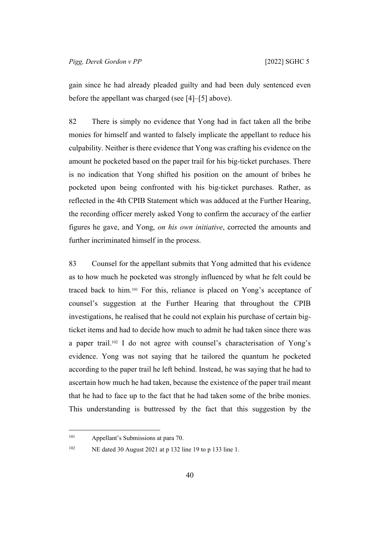gain since he had already pleaded guilty and had been duly sentenced even before the appellant was charged (see [\[4](#page-4-2)]–[\[5](#page-4-3)] above).

82 There is simply no evidence that Yong had in fact taken all the bribe monies for himself and wanted to falsely implicate the appellant to reduce his culpability. Neither is there evidence that Yong was crafting his evidence on the amount he pocketed based on the paper trail for his big-ticket purchases. There is no indication that Yong shifted his position on the amount of bribes he pocketed upon being confronted with his big-ticket purchases. Rather, as reflected in the 4th CPIB Statement which was adduced at the Further Hearing, the recording officer merely asked Yong to confirm the accuracy of the earlier figures he gave, and Yong, *on his own initiative*, corrected the amounts and further incriminated himself in the process.

83 Counsel for the appellant submits that Yong admitted that his evidence as to how much he pocketed was strongly influenced by what he felt could be traced back to him.101 For this, reliance is placed on Yong's acceptance of counsel's suggestion at the Further Hearing that throughout the CPIB investigations, he realised that he could not explain his purchase of certain bigticket items and had to decide how much to admit he had taken since there was a paper trail.102 I do not agree with counsel's characterisation of Yong's evidence. Yong was not saying that he tailored the quantum he pocketed according to the paper trail he left behind. Instead, he was saying that he had to ascertain how much he had taken, because the existence of the paper trail meant that he had to face up to the fact that he had taken some of the bribe monies. This understanding is buttressed by the fact that this suggestion by the

<sup>101</sup> Appellant's Submissions at para 70.

<sup>102</sup> NE dated 30 August 2021 at p 132 line 19 to p 133 line 1.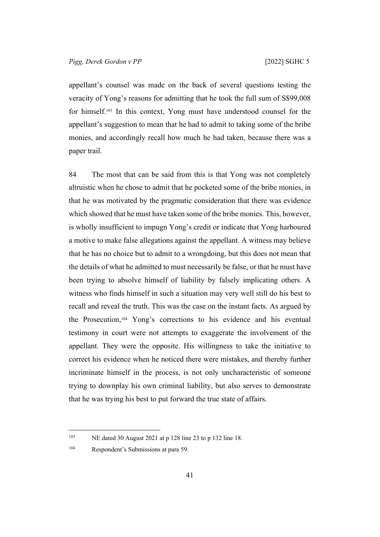appellant's counsel was made on the back of several questions testing the veracity of Yong's reasons for admitting that he took the full sum of S\$99,008 for himself.103 In this context, Yong must have understood counsel for the appellant's suggestion to mean that he had to admit to taking some of the bribe monies, and accordingly recall how much he had taken, because there was a paper trail.

84 The most that can be said from this is that Yong was not completely altruistic when he chose to admit that he pocketed some of the bribe monies, in that he was motivated by the pragmatic consideration that there was evidence which showed that he must have taken some of the bribe monies. This, however, is wholly insufficient to impugn Yong's credit or indicate that Yong harboured a motive to make false allegations against the appellant. A witness may believe that he has no choice but to admit to a wrongdoing, but this does not mean that the details of what he admitted to must necessarily be false, or that he must have been trying to absolve himself of liability by falsely implicating others. A witness who finds himself in such a situation may very well still do his best to recall and reveal the truth. This was the case on the instant facts. As argued by the Prosecution,104 Yong's corrections to his evidence and his eventual testimony in court were not attempts to exaggerate the involvement of the appellant. They were the opposite. His willingness to take the initiative to correct his evidence when he noticed there were mistakes, and thereby further incriminate himself in the process, is not only uncharacteristic of someone trying to downplay his own criminal liability, but also serves to demonstrate that he was trying his best to put forward the true state of affairs.

<sup>103</sup> NE dated 30 August 2021 at p 128 line 23 to p 132 line 18.

<sup>104</sup> Respondent's Submissions at para 59.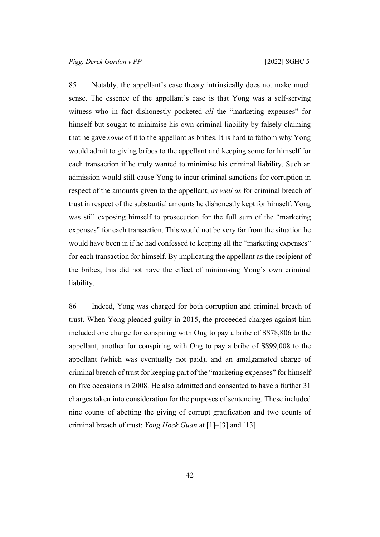85 Notably, the appellant's case theory intrinsically does not make much sense. The essence of the appellant's case is that Yong was a self-serving witness who in fact dishonestly pocketed *all* the "marketing expenses" for himself but sought to minimise his own criminal liability by falsely claiming that he gave *some* of it to the appellant as bribes. It is hard to fathom why Yong would admit to giving bribes to the appellant and keeping some for himself for each transaction if he truly wanted to minimise his criminal liability. Such an admission would still cause Yong to incur criminal sanctions for corruption in respect of the amounts given to the appellant, *as well as* for criminal breach of trust in respect of the substantial amounts he dishonestly kept for himself. Yong was still exposing himself to prosecution for the full sum of the "marketing expenses" for each transaction. This would not be very far from the situation he would have been in if he had confessed to keeping all the "marketing expenses" for each transaction for himself. By implicating the appellant as the recipient of the bribes, this did not have the effect of minimising Yong's own criminal liability.

86 Indeed, Yong was charged for both corruption and criminal breach of trust. When Yong pleaded guilty in 2015, the proceeded charges against him included one charge for conspiring with Ong to pay a bribe of S\$78,806 to the appellant, another for conspiring with Ong to pay a bribe of S\$99,008 to the appellant (which was eventually not paid), and an amalgamated charge of criminal breach of trust for keeping part of the "marketing expenses" for himself on five occasions in 2008. He also admitted and consented to have a further 31 charges taken into consideration for the purposes of sentencing. These included nine counts of abetting the giving of corrupt gratification and two counts of criminal breach of trust: *Yong Hock Guan* at [1]–[3] and [13].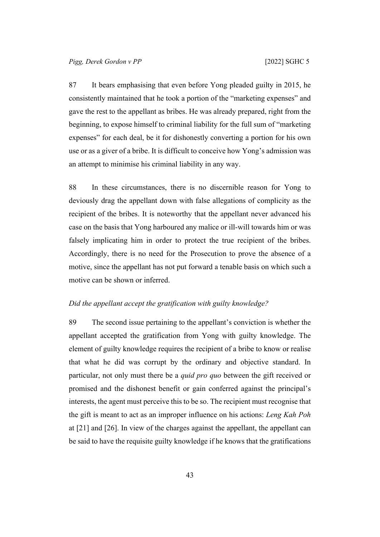87 It bears emphasising that even before Yong pleaded guilty in 2015, he consistently maintained that he took a portion of the "marketing expenses" and gave the rest to the appellant as bribes. He was already prepared, right from the beginning, to expose himself to criminal liability for the full sum of "marketing expenses" for each deal, be it for dishonestly converting a portion for his own use or as a giver of a bribe. It is difficult to conceive how Yong's admission was an attempt to minimise his criminal liability in any way.

88 In these circumstances, there is no discernible reason for Yong to deviously drag the appellant down with false allegations of complicity as the recipient of the bribes. It is noteworthy that the appellant never advanced his case on the basis that Yong harboured any malice or ill-will towards him or was falsely implicating him in order to protect the true recipient of the bribes. Accordingly, there is no need for the Prosecution to prove the absence of a motive, since the appellant has not put forward a tenable basis on which such a motive can be shown or inferred.

## <span id="page-45-0"></span>*Did the appellant accept the gratification with guilty knowledge?*

89 The second issue pertaining to the appellant's conviction is whether the appellant accepted the gratification from Yong with guilty knowledge. The element of guilty knowledge requires the recipient of a bribe to know or realise that what he did was corrupt by the ordinary and objective standard. In particular, not only must there be a *quid pro quo* between the gift received or promised and the dishonest benefit or gain conferred against the principal's interests, the agent must perceive this to be so. The recipient must recognise that the gift is meant to act as an improper influence on his actions: *Leng Kah Poh* at [21] and [26]. In view of the charges against the appellant, the appellant can be said to have the requisite guilty knowledge if he knows that the gratifications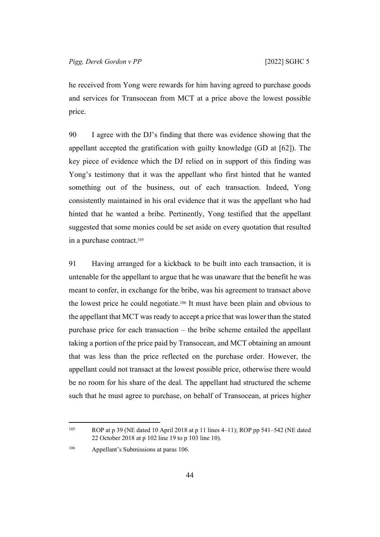he received from Yong were rewards for him having agreed to purchase goods and services for Transocean from MCT at a price above the lowest possible price.

90 I agree with the DJ's finding that there was evidence showing that the appellant accepted the gratification with guilty knowledge (GD at [62]). The key piece of evidence which the DJ relied on in support of this finding was Yong's testimony that it was the appellant who first hinted that he wanted something out of the business, out of each transaction. Indeed, Yong consistently maintained in his oral evidence that it was the appellant who had hinted that he wanted a bribe. Pertinently, Yong testified that the appellant suggested that some monies could be set aside on every quotation that resulted in a purchase contract.<sup>105</sup>

91 Having arranged for a kickback to be built into each transaction, it is untenable for the appellant to argue that he was unaware that the benefit he was meant to confer, in exchange for the bribe, was his agreement to transact above the lowest price he could negotiate.106 It must have been plain and obvious to the appellant that MCT was ready to accept a price that was lower than the stated purchase price for each transaction – the bribe scheme entailed the appellant taking a portion of the price paid by Transocean, and MCT obtaining an amount that was less than the price reflected on the purchase order. However, the appellant could not transact at the lowest possible price, otherwise there would be no room for his share of the deal. The appellant had structured the scheme such that he must agree to purchase, on behalf of Transocean, at prices higher

<sup>&</sup>lt;sup>105</sup> ROP at p 39 (NE dated 10 April 2018 at p 11 lines 4–11); ROP pp 541–542 (NE dated 22 October 2018 at p 102 line 19 to p 103 line 10).

<sup>106</sup> Appellant's Submissions at paras 106.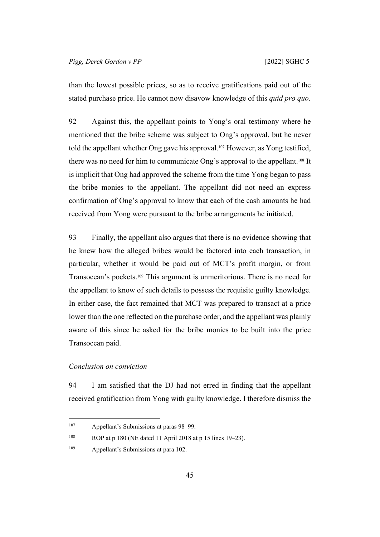than the lowest possible prices, so as to receive gratifications paid out of the stated purchase price. He cannot now disavow knowledge of this *quid pro quo*.

92 Against this, the appellant points to Yong's oral testimony where he mentioned that the bribe scheme was subject to Ong's approval, but he never told the appellant whether Ong gave his approval.107 However, as Yong testified, there was no need for him to communicate Ong's approval to the appellant.108 It is implicit that Ong had approved the scheme from the time Yong began to pass the bribe monies to the appellant. The appellant did not need an express confirmation of Ong's approval to know that each of the cash amounts he had received from Yong were pursuant to the bribe arrangements he initiated.

93 Finally, the appellant also argues that there is no evidence showing that he knew how the alleged bribes would be factored into each transaction, in particular, whether it would be paid out of MCT's profit margin, or from Transocean's pockets.109 This argument is unmeritorious. There is no need for the appellant to know of such details to possess the requisite guilty knowledge. In either case, the fact remained that MCT was prepared to transact at a price lower than the one reflected on the purchase order, and the appellant was plainly aware of this since he asked for the bribe monies to be built into the price Transocean paid.

## <span id="page-47-0"></span>*Conclusion on conviction*

94 I am satisfied that the DJ had not erred in finding that the appellant received gratification from Yong with guilty knowledge. I therefore dismiss the

<sup>107</sup> Appellant's Submissions at paras 98–99.

<sup>108</sup> ROP at p 180 (NE dated 11 April 2018 at p 15 lines 19–23).

<sup>109</sup> Appellant's Submissions at para 102.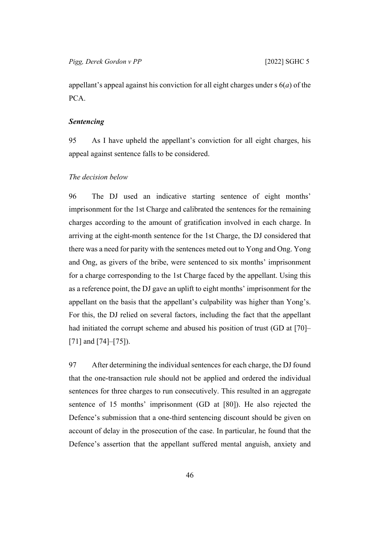appellant's appeal against his conviction for all eight charges under s 6(*a*) of the PCA.

## <span id="page-48-0"></span>*Sentencing*

95 As I have upheld the appellant's conviction for all eight charges, his appeal against sentence falls to be considered.

#### <span id="page-48-1"></span>*The decision below*

96 The DJ used an indicative starting sentence of eight months' imprisonment for the 1st Charge and calibrated the sentences for the remaining charges according to the amount of gratification involved in each charge. In arriving at the eight-month sentence for the 1st Charge, the DJ considered that there was a need for parity with the sentences meted out to Yong and Ong. Yong and Ong, as givers of the bribe, were sentenced to six months' imprisonment for a charge corresponding to the 1st Charge faced by the appellant. Using this as a reference point, the DJ gave an uplift to eight months' imprisonment for the appellant on the basis that the appellant's culpability was higher than Yong's. For this, the DJ relied on several factors, including the fact that the appellant had initiated the corrupt scheme and abused his position of trust (GD at [70]– [71] and [74]–[75]).

97 After determining the individual sentences for each charge, the DJ found that the one-transaction rule should not be applied and ordered the individual sentences for three charges to run consecutively. This resulted in an aggregate sentence of 15 months' imprisonment (GD at [80]). He also rejected the Defence's submission that a one-third sentencing discount should be given on account of delay in the prosecution of the case. In particular, he found that the Defence's assertion that the appellant suffered mental anguish, anxiety and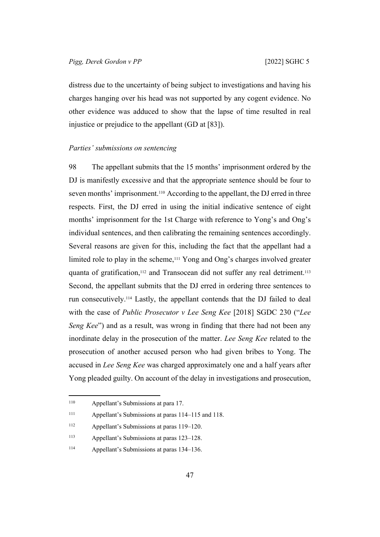distress due to the uncertainty of being subject to investigations and having his charges hanging over his head was not supported by any cogent evidence. No other evidence was adduced to show that the lapse of time resulted in real injustice or prejudice to the appellant (GD at [83]).

#### <span id="page-49-0"></span>*Parties' submissions on sentencing*

98 The appellant submits that the 15 months' imprisonment ordered by the DJ is manifestly excessive and that the appropriate sentence should be four to seven months' imprisonment.110 According to the appellant, the DJ erred in three respects. First, the DJ erred in using the initial indicative sentence of eight months' imprisonment for the 1st Charge with reference to Yong's and Ong's individual sentences, and then calibrating the remaining sentences accordingly. Several reasons are given for this, including the fact that the appellant had a limited role to play in the scheme,111 Yong and Ong's charges involved greater quanta of gratification,<sup>112</sup> and Transocean did not suffer any real detriment.<sup>113</sup> Second, the appellant submits that the DJ erred in ordering three sentences to run consecutively.114 Lastly, the appellant contends that the DJ failed to deal with the case of *Public Prosecutor v Lee Seng Kee* [2018] SGDC 230 ("*Lee Seng Kee*") and as a result, was wrong in finding that there had not been any inordinate delay in the prosecution of the matter. *Lee Seng Kee* related to the prosecution of another accused person who had given bribes to Yong. The accused in *Lee Seng Kee* was charged approximately one and a half years after Yong pleaded guilty. On account of the delay in investigations and prosecution,

<sup>110</sup> Appellant's Submissions at para 17.

<sup>111</sup> Appellant's Submissions at paras 114–115 and 118.

<sup>112</sup> Appellant's Submissions at paras 119–120.

<sup>113</sup> Appellant's Submissions at paras 123–128.

<sup>114</sup> Appellant's Submissions at paras 134–136.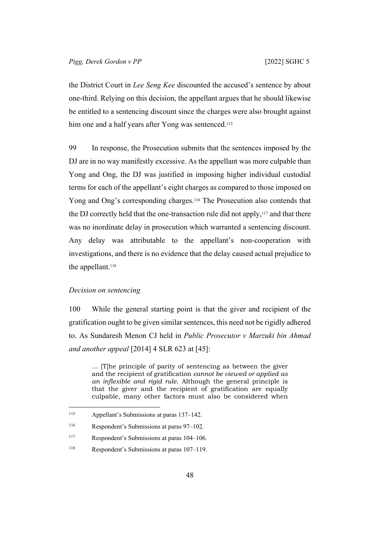the District Court in *Lee Seng Kee* discounted the accused's sentence by about one-third. Relying on this decision, the appellant argues that he should likewise be entitled to a sentencing discount since the charges were also brought against him one and a half years after Yong was sentenced.<sup>115</sup>

99 In response, the Prosecution submits that the sentences imposed by the DJ are in no way manifestly excessive. As the appellant was more culpable than Yong and Ong, the DJ was justified in imposing higher individual custodial terms for each of the appellant's eight charges as compared to those imposed on Yong and Ong's corresponding charges.<sup>116</sup> The Prosecution also contends that the DJ correctly held that the one-transaction rule did not apply, $117$  and that there was no inordinate delay in prosecution which warranted a sentencing discount. Any delay was attributable to the appellant's non-cooperation with investigations, and there is no evidence that the delay caused actual prejudice to the appellant.<sup>118</sup>

## <span id="page-50-0"></span>*Decision on sentencing*

100 While the general starting point is that the giver and recipient of the gratification ought to be given similar sentences, this need not be rigidly adhered to. As Sundaresh Menon CJ held in *Public Prosecutor v Marzuki bin Ahmad and another appeal* [2014] 4 SLR 623 at [45]:

… [T]he principle of parity of sentencing as between the giver and the recipient of gratification *cannot be viewed or applied as an inflexible and rigid rule*. Although the general principle is that the giver and the recipient of gratification are equally culpable, many other factors must also be considered when

<sup>115</sup> Appellant's Submissions at paras 137–142.

<sup>116</sup> Respondent's Submissions at paras 97–102.

<sup>117</sup> Respondent's Submissions at paras 104–106.

<sup>118</sup> Respondent's Submissions at paras 107–119.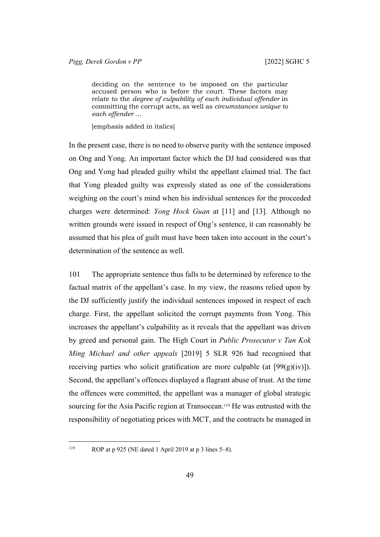deciding on the sentence to be imposed on the particular accused person who is before the court. These factors may relate to the *degree of culpability of each individual offender* in committing the corrupt acts, as well as *circumstances unique to each offender* …

[emphasis added in italics]

In the present case, there is no need to observe parity with the sentence imposed on Ong and Yong. An important factor which the DJ had considered was that Ong and Yong had pleaded guilty whilst the appellant claimed trial. The fact that Yong pleaded guilty was expressly stated as one of the considerations weighing on the court's mind when his individual sentences for the proceeded charges were determined: *Yong Hock Guan* at [11] and [13]. Although no written grounds were issued in respect of Ong's sentence, it can reasonably be assumed that his plea of guilt must have been taken into account in the court's determination of the sentence as well.

101 The appropriate sentence thus falls to be determined by reference to the factual matrix of the appellant's case. In my view, the reasons relied upon by the DJ sufficiently justify the individual sentences imposed in respect of each charge. First, the appellant solicited the corrupt payments from Yong. This increases the appellant's culpability as it reveals that the appellant was driven by greed and personal gain. The High Court in *Public Prosecutor v Tan Kok Ming Michael and other appeals* [2019] 5 SLR 926 had recognised that receiving parties who solicit gratification are more culpable (at  $[99(g)(iv)]$ ). Second, the appellant's offences displayed a flagrant abuse of trust. At the time the offences were committed, the appellant was a manager of global strategic sourcing for the Asia Pacific region at Transocean.<sup>119</sup> He was entrusted with the responsibility of negotiating prices with MCT, and the contracts he managed in

<sup>119</sup> ROP at p 925 (NE dated 1 April 2019 at p 3 lines 5–8).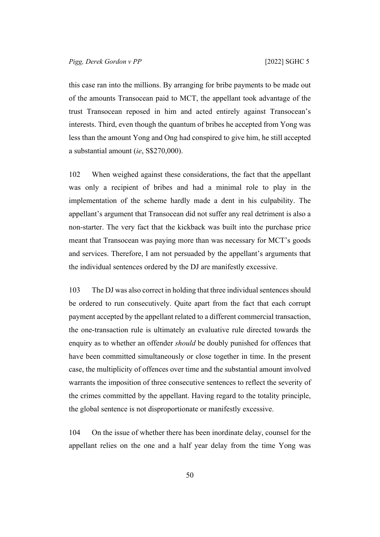this case ran into the millions. By arranging for bribe payments to be made out of the amounts Transocean paid to MCT, the appellant took advantage of the trust Transocean reposed in him and acted entirely against Transocean's interests. Third, even though the quantum of bribes he accepted from Yong was less than the amount Yong and Ong had conspired to give him, he still accepted a substantial amount (*ie*, S\$270,000).

102 When weighed against these considerations, the fact that the appellant was only a recipient of bribes and had a minimal role to play in the implementation of the scheme hardly made a dent in his culpability. The appellant's argument that Transocean did not suffer any real detriment is also a non-starter. The very fact that the kickback was built into the purchase price meant that Transocean was paying more than was necessary for MCT's goods and services. Therefore, I am not persuaded by the appellant's arguments that the individual sentences ordered by the DJ are manifestly excessive.

103 The DJ was also correct in holding that three individual sentences should be ordered to run consecutively. Quite apart from the fact that each corrupt payment accepted by the appellant related to a different commercial transaction, the one-transaction rule is ultimately an evaluative rule directed towards the enquiry as to whether an offender *should* be doubly punished for offences that have been committed simultaneously or close together in time. In the present case, the multiplicity of offences over time and the substantial amount involved warrants the imposition of three consecutive sentences to reflect the severity of the crimes committed by the appellant. Having regard to the totality principle, the global sentence is not disproportionate or manifestly excessive.

104 On the issue of whether there has been inordinate delay, counsel for the appellant relies on the one and a half year delay from the time Yong was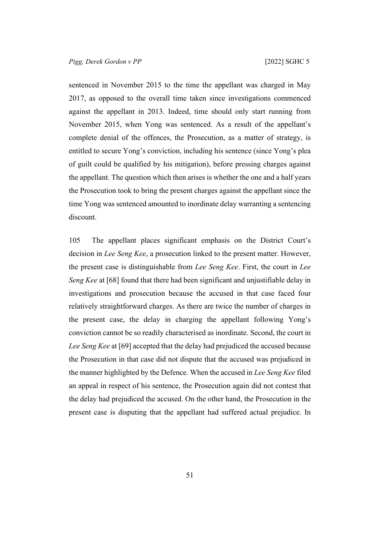sentenced in November 2015 to the time the appellant was charged in May 2017, as opposed to the overall time taken since investigations commenced against the appellant in 2013. Indeed, time should only start running from November 2015, when Yong was sentenced. As a result of the appellant's complete denial of the offences, the Prosecution, as a matter of strategy, is entitled to secure Yong's conviction, including his sentence (since Yong's plea of guilt could be qualified by his mitigation), before pressing charges against the appellant. The question which then arises is whether the one and a half years the Prosecution took to bring the present charges against the appellant since the time Yong was sentenced amounted to inordinate delay warranting a sentencing discount.

105 The appellant places significant emphasis on the District Court's decision in *Lee Seng Kee*, a prosecution linked to the present matter. However, the present case is distinguishable from *Lee Seng Kee*. First, the court in *Lee Seng Kee* at [68] found that there had been significant and unjustifiable delay in investigations and prosecution because the accused in that case faced four relatively straightforward charges. As there are twice the number of charges in the present case, the delay in charging the appellant following Yong's conviction cannot be so readily characterised as inordinate. Second, the court in *Lee Seng Kee* at [69] accepted that the delay had prejudiced the accused because the Prosecution in that case did not dispute that the accused was prejudiced in the manner highlighted by the Defence. When the accused in *Lee Seng Kee* filed an appeal in respect of his sentence, the Prosecution again did not contest that the delay had prejudiced the accused. On the other hand, the Prosecution in the present case is disputing that the appellant had suffered actual prejudice. In